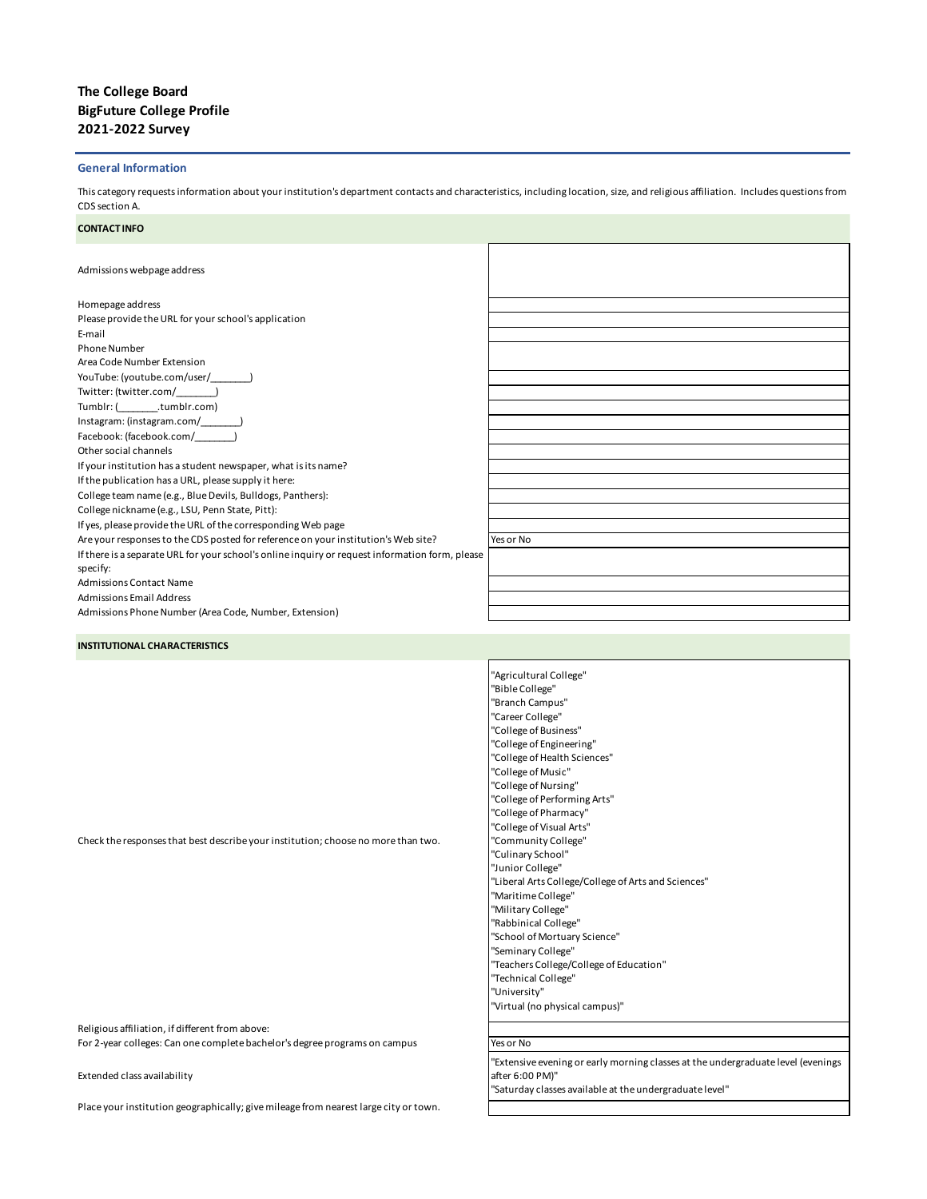# **The College Board BigFuture College Profile 2021-2022 Survey**

## **General Information**

This category requests information about your institution's department contacts and characteristics, including location, size, and religious affiliation. Includes questions from CDS section A.

#### **CONTACT INFO**

Admissions webpage address

| Homepage address                                                                                |           |
|-------------------------------------------------------------------------------------------------|-----------|
| Please provide the URL for your school's application                                            |           |
| E-mail                                                                                          |           |
| <b>Phone Number</b>                                                                             |           |
| Area Code Number Extension                                                                      |           |
| YouTube: (youtube.com/user/ )                                                                   |           |
| Twitter: (twitter.com/ )                                                                        |           |
| Tumblr: (tumblr.com)                                                                            |           |
|                                                                                                 |           |
| Facebook: (facebook.com/ )                                                                      |           |
| Other social channels                                                                           |           |
| If your institution has a student newspaper, what is its name?                                  |           |
| If the publication has a URL, please supply it here:                                            |           |
| College team name (e.g., Blue Devils, Bulldogs, Panthers):                                      |           |
| College nickname (e.g., LSU, Penn State, Pitt):                                                 |           |
| If yes, please provide the URL of the corresponding Web page                                    |           |
| Are your responses to the CDS posted for reference on your institution's Web site?              | Yes or No |
| If there is a separate URL for your school's online inquiry or request information form, please |           |
| specify:                                                                                        |           |
| <b>Admissions Contact Name</b>                                                                  |           |
| <b>Admissions Email Address</b>                                                                 |           |
| Admissions Phone Number (Area Code, Number, Extension)                                          |           |

**INSTITUTIONAL CHARACTERISTICS**

Check the responses that best describe your institution; choose no more than two.

"College of Performing Arts" "College of Pharmacy" "College of Visual Arts" "Community College" "Culinary School" "Junior College" "Liberal Arts College/College of Arts and Sciences" "Maritime College" "Military College" "Rabbinical College" "School of Mortuary Science" "Seminary College" "Teachers College/College of Education" "Technical College" "University" "Virtual (no physical campus)"

"Agricultural College" "Bible College" "Branch Campus" "Career College" "College of Business" "College of Engineering" "College of Health Sciences" "College of Music" "College of Nursing"

Religious affiliation, if different from above: For 2-year colleges: Can one complete bachelor's degree programs on campus Yes or No

Extended class availability

Place your institution geographically; give mileage from nearest large city or town.

"Extensive evening or early morning classes at the undergraduate level (evenings after 6:00 PM)"

"Saturday classes available at the undergraduate level"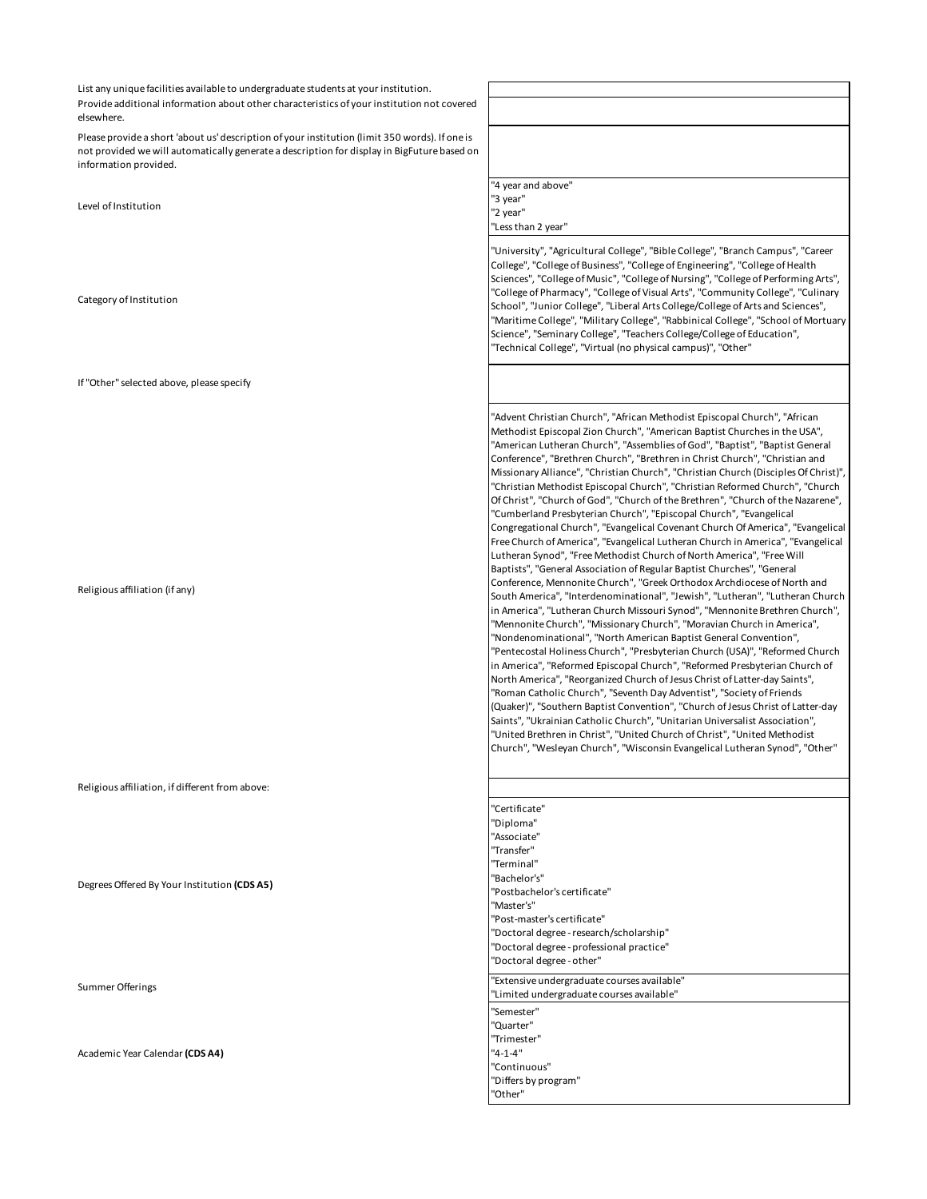List any unique facilities available to undergraduate students at your institution. Provide additional information about other characteristics of your institution not covered elsewhere.

г

Please provide a short 'about us' description of your institution (limit 350 words). If one is not provided we will automatically generate a description for display in BigFuture based on information provided.

Level of Institution

Category of Institution

If "Other" selected above, please specify

Religious affiliation (if any)

Religious affiliation, if different from above:

Degrees Offered By Your Institution **(CDS A5)**

Academic Year Calendar **(CDS A4)**

| "4 year and above"<br>"3 year"<br>"2 year"<br>"Less than 2 year"                                                                                                                                                                                                                                                                                                                                                                                                                                                                                                                                                                                                                                                                                                                                                                                                                                                                                                                                                                                                                                                                                                                                                                                                                                                                                                                                                                                                                                                                                                                                                                                                                                                                                                                                                                                                                                                                                                                                                            |
|-----------------------------------------------------------------------------------------------------------------------------------------------------------------------------------------------------------------------------------------------------------------------------------------------------------------------------------------------------------------------------------------------------------------------------------------------------------------------------------------------------------------------------------------------------------------------------------------------------------------------------------------------------------------------------------------------------------------------------------------------------------------------------------------------------------------------------------------------------------------------------------------------------------------------------------------------------------------------------------------------------------------------------------------------------------------------------------------------------------------------------------------------------------------------------------------------------------------------------------------------------------------------------------------------------------------------------------------------------------------------------------------------------------------------------------------------------------------------------------------------------------------------------------------------------------------------------------------------------------------------------------------------------------------------------------------------------------------------------------------------------------------------------------------------------------------------------------------------------------------------------------------------------------------------------------------------------------------------------------------------------------------------------|
| "University", "Agricultural College", "Bible College", "Branch Campus", "Career<br>College", "College of Business", "College of Engineering", "College of Health<br>Sciences", "College of Music", "College of Nursing", "College of Performing Arts",<br>"College of Pharmacy", "College of Visual Arts", "Community College", "Culinary<br>School", "Junior College", "Liberal Arts College/College of Arts and Sciences",<br>"Maritime College", "Military College", "Rabbinical College", "School of Mortuary<br>Science", "Seminary College", "Teachers College/College of Education",<br>"Technical College", "Virtual (no physical campus)", "Other"                                                                                                                                                                                                                                                                                                                                                                                                                                                                                                                                                                                                                                                                                                                                                                                                                                                                                                                                                                                                                                                                                                                                                                                                                                                                                                                                                                 |
|                                                                                                                                                                                                                                                                                                                                                                                                                                                                                                                                                                                                                                                                                                                                                                                                                                                                                                                                                                                                                                                                                                                                                                                                                                                                                                                                                                                                                                                                                                                                                                                                                                                                                                                                                                                                                                                                                                                                                                                                                             |
| "Advent Christian Church", "African Methodist Episcopal Church", "African<br>Methodist Episcopal Zion Church", "American Baptist Churches in the USA",<br>"American Lutheran Church", "Assemblies of God", "Baptist", "Baptist General<br>Conference", "Brethren Church", "Brethren in Christ Church", "Christian and<br>Missionary Alliance", "Christian Church", "Christian Church (Disciples Of Christ)",<br>"Christian Methodist Episcopal Church", "Christian Reformed Church", "Church<br>Of Christ", "Church of God", "Church of the Brethren", "Church of the Nazarene",<br>"Cumberland Presbyterian Church", "Episcopal Church", "Evangelical<br>Congregational Church", "Evangelical Covenant Church Of America", "Evangelical<br>Free Church of America", "Evangelical Lutheran Church in America", "Evangelical<br>Lutheran Synod", "Free Methodist Church of North America", "Free Will<br>Baptists", "General Association of Regular Baptist Churches", "General<br>Conference, Mennonite Church", "Greek Orthodox Archdiocese of North and<br>South America", "Interdenominational", "Jewish", "Lutheran", "Lutheran Church<br>in America", "Lutheran Church Missouri Synod", "Mennonite Brethren Church",<br>"Mennonite Church", "Missionary Church", "Moravian Church in America",<br>"Nondenominational", "North American Baptist General Convention",<br>"Pentecostal Holiness Church", "Presbyterian Church (USA)", "Reformed Church<br>in America", "Reformed Episcopal Church", "Reformed Presbyterian Church of<br>North America", "Reorganized Church of Jesus Christ of Latter-day Saints",<br>"Roman Catholic Church", "Seventh Day Adventist", "Society of Friends<br>(Quaker)", "Southern Baptist Convention", "Church of Jesus Christ of Latter-day<br>Saints", "Ukrainian Catholic Church", "Unitarian Universalist Association",<br>"United Brethren in Christ", "United Church of Christ", "United Methodist<br>Church", "Wesleyan Church", "Wisconsin Evangelical Lutheran Synod", "Other" |

"Certificate" "Diploma" "Associate" "Transfer" "Terminal" "Bachelor's" "Postbachelor's certificate" "Master's" "Post-master's certificate" "Doctoral degree - research/scholarship" "Doctoral degree - professional practice" "Doctoral degree - other" Summer Offerings "Extensive undergraduate courses available" "Limited undergraduate courses available" "Semester" "Quarter" "Trimester" "4-1-4" "Continuous" "Differs by program" "Other"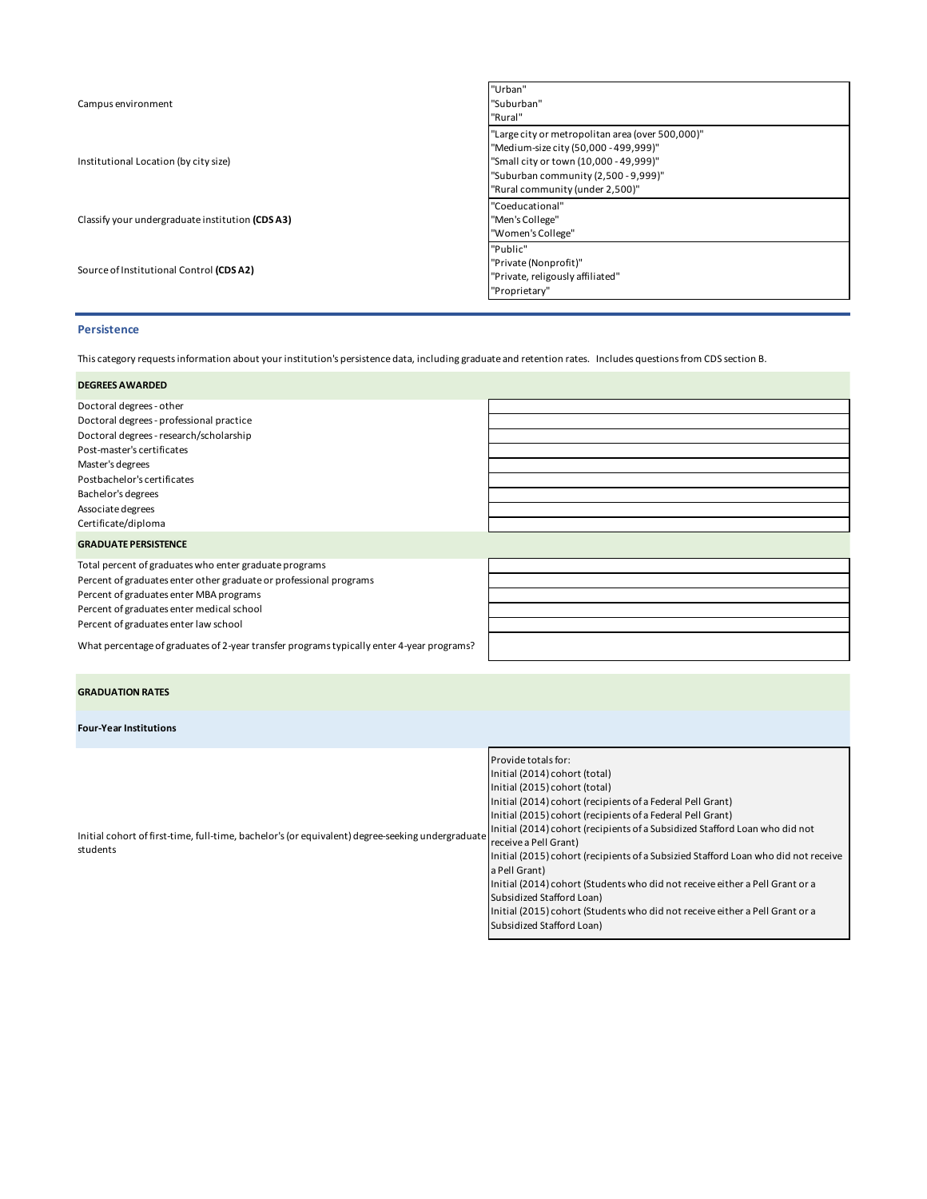| Campus environment                              | "Urban"<br>"Suburban"<br>"Rural"                                                                                                                                                                               |
|-------------------------------------------------|----------------------------------------------------------------------------------------------------------------------------------------------------------------------------------------------------------------|
| Institutional Location (by city size)           | "Large city or metropolitan area (over 500,000)"<br>"Medium-size city (50,000 - 499,999)"<br>"Small city or town (10,000 - 49,999)"<br>"Suburban community (2,500 - 9,999)"<br>"Rural community (under 2,500)" |
| Classify your undergraduate institution (CDSA3) | "Coeducational"<br>"Men's College"<br>"Women's College"                                                                                                                                                        |
| Source of Institutional Control (CDSA2)         | "Public"<br>"Private (Nonprofit)"<br>"Private, religously affiliated"<br>"Proprietary"                                                                                                                         |

# **Persistence**

This category requests information about your institution's persistence data, including graduate and retention rates. Includes questions from CDS section B.

| <b>DEGREES AWARDED</b>                                                                    |  |
|-------------------------------------------------------------------------------------------|--|
| Doctoral degrees - other                                                                  |  |
| Doctoral degrees - professional practice                                                  |  |
| Doctoral degrees - research/scholarship                                                   |  |
| Post-master's certificates                                                                |  |
| Master's degrees                                                                          |  |
| Postbachelor's certificates                                                               |  |
| Bachelor's degrees                                                                        |  |
| Associate degrees                                                                         |  |
| Certificate/diploma                                                                       |  |
| <b>GRADUATE PERSISTENCE</b>                                                               |  |
| Total percent of graduates who enter graduate programs                                    |  |
| Percent of graduates enter other graduate or professional programs                        |  |
| Percent of graduates enter MBA programs                                                   |  |
| Percent of graduates enter medical school                                                 |  |
| Percent of graduates enter law school                                                     |  |
| What percentage of graduates of 2-year transfer programs typically enter 4-year programs? |  |

| <b>GRADUATION RATES</b>       |                                                            |
|-------------------------------|------------------------------------------------------------|
| <b>Four-Year Institutions</b> |                                                            |
|                               | Provide totals for:                                        |
|                               | Initial (2014) cohort (total)                              |
|                               | Initial (2015) cohort (total)                              |
|                               | Initial (2014) cohort (recipients of a Federal Pell Grant) |

| Initial cohort of first-time, full-time, bachelor's (or equivalent) degree-seeking undergraduate<br>students | Initial (2015) cohort (recipients of a Federal Pell Grant)                         |
|--------------------------------------------------------------------------------------------------------------|------------------------------------------------------------------------------------|
|                                                                                                              | Initial (2014) cohort (recipients of a Subsidized Stafford Loan who did not        |
|                                                                                                              | receive a Pell Grant)                                                              |
|                                                                                                              | Initial (2015) cohort (recipients of a Subsizied Stafford Loan who did not receive |
|                                                                                                              | a Pell Grant)                                                                      |

Initial (2014) cohort (Students who did not receive either a Pell Grant or a Subsidized Stafford Loan) Initial (2015) cohort (Students who did not receive either a Pell Grant or a

Subsidized Stafford Loan)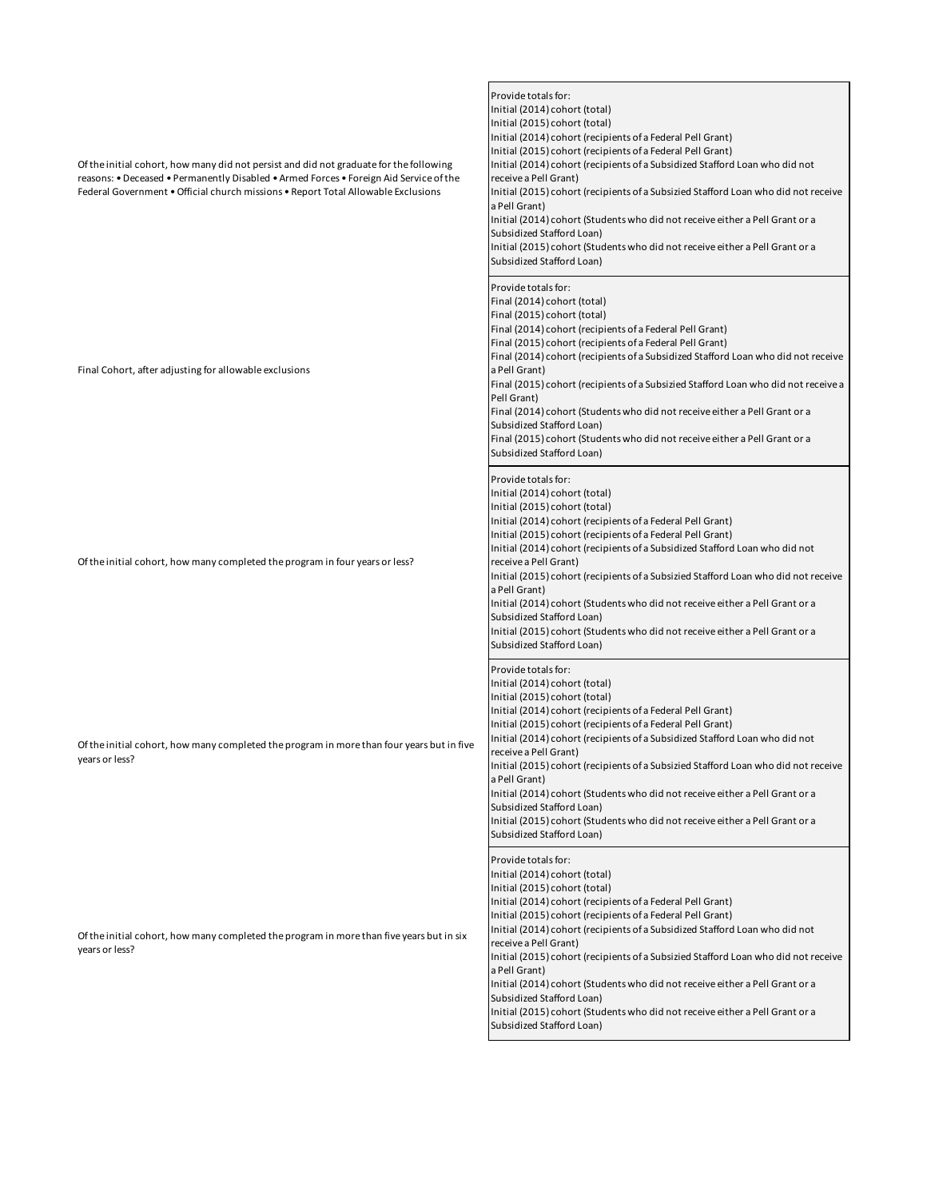| Of the initial cohort, how many did not persist and did not graduate for the following<br>reasons: • Deceased • Permanently Disabled • Armed Forces • Foreign Aid Service of the<br>Federal Government . Official church missions . Report Total Allowable Exclusions | Provide totals for:<br>Initial (2014) cohort (total)<br>Initial (2015) cohort (total)<br>Initial (2014) cohort (recipients of a Federal Pell Grant)<br>Initial (2015) cohort (recipients of a Federal Pell Grant)<br>Initial (2014) cohort (recipients of a Subsidized Stafford Loan who did not<br>receive a Pell Grant)<br>Initial (2015) cohort (recipients of a Subsizied Stafford Loan who did not receive<br>a Pell Grant)<br>Initial (2014) cohort (Students who did not receive either a Pell Grant or a<br>Subsidized Stafford Loan)<br>Initial (2015) cohort (Students who did not receive either a Pell Grant or a<br>Subsidized Stafford Loan) |
|-----------------------------------------------------------------------------------------------------------------------------------------------------------------------------------------------------------------------------------------------------------------------|------------------------------------------------------------------------------------------------------------------------------------------------------------------------------------------------------------------------------------------------------------------------------------------------------------------------------------------------------------------------------------------------------------------------------------------------------------------------------------------------------------------------------------------------------------------------------------------------------------------------------------------------------------|
| Final Cohort, after adjusting for allowable exclusions                                                                                                                                                                                                                | Provide totals for:<br>Final (2014) cohort (total)<br>Final (2015) cohort (total)<br>Final (2014) cohort (recipients of a Federal Pell Grant)<br>Final (2015) cohort (recipients of a Federal Pell Grant)<br>Final (2014) cohort (recipients of a Subsidized Stafford Loan who did not receive<br>a Pell Grant)<br>Final (2015) cohort (recipients of a Subsizied Stafford Loan who did not receive a<br>Pell Grant)<br>Final (2014) cohort (Students who did not receive either a Pell Grant or a<br>Subsidized Stafford Loan)<br>Final (2015) cohort (Students who did not receive either a Pell Grant or a<br>Subsidized Stafford Loan)                 |
| Of the initial cohort, how many completed the program in four years or less?                                                                                                                                                                                          | Provide totals for:<br>Initial (2014) cohort (total)<br>Initial (2015) cohort (total)<br>Initial (2014) cohort (recipients of a Federal Pell Grant)<br>Initial (2015) cohort (recipients of a Federal Pell Grant)<br>Initial (2014) cohort (recipients of a Subsidized Stafford Loan who did not<br>receive a Pell Grant)<br>Initial (2015) cohort (recipients of a Subsizied Stafford Loan who did not receive<br>a Pell Grant)<br>Initial (2014) cohort (Students who did not receive either a Pell Grant or a<br>Subsidized Stafford Loan)<br>Initial (2015) cohort (Students who did not receive either a Pell Grant or a<br>Subsidized Stafford Loan) |
| Of the initial cohort, how many completed the program in more than four years but in five<br>years or less?                                                                                                                                                           | Provide totals for:<br>Initial (2014) cohort (total)<br>Initial (2015) cohort (total)<br>Initial (2014) cohort (recipients of a Federal Pell Grant)<br>Initial (2015) cohort (recipients of a Federal Pell Grant)<br>Initial (2014) cohort (recipients of a Subsidized Stafford Loan who did not<br>receive a Pell Grant)<br>Initial (2015) cohort (recipients of a Subsizied Stafford Loan who did not receive<br>a Pell Grant)<br>Initial (2014) cohort (Students who did not receive either a Pell Grant or a<br>Subsidized Stafford Loan)<br>Initial (2015) cohort (Students who did not receive either a Pell Grant or a<br>Subsidized Stafford Loan) |
| Of the initial cohort, how many completed the program in more than five years but in six<br>years or less?                                                                                                                                                            | Provide totals for:<br>Initial (2014) cohort (total)<br>Initial (2015) cohort (total)<br>Initial (2014) cohort (recipients of a Federal Pell Grant)<br>Initial (2015) cohort (recipients of a Federal Pell Grant)<br>Initial (2014) cohort (recipients of a Subsidized Stafford Loan who did not<br>receive a Pell Grant)<br>Initial (2015) cohort (recipients of a Subsizied Stafford Loan who did not receive<br>a Pell Grant)<br>Initial (2014) cohort (Students who did not receive either a Pell Grant or a<br>Subsidized Stafford Loan)<br>Initial (2015) cohort (Students who did not receive either a Pell Grant or a<br>Subsidized Stafford Loan) |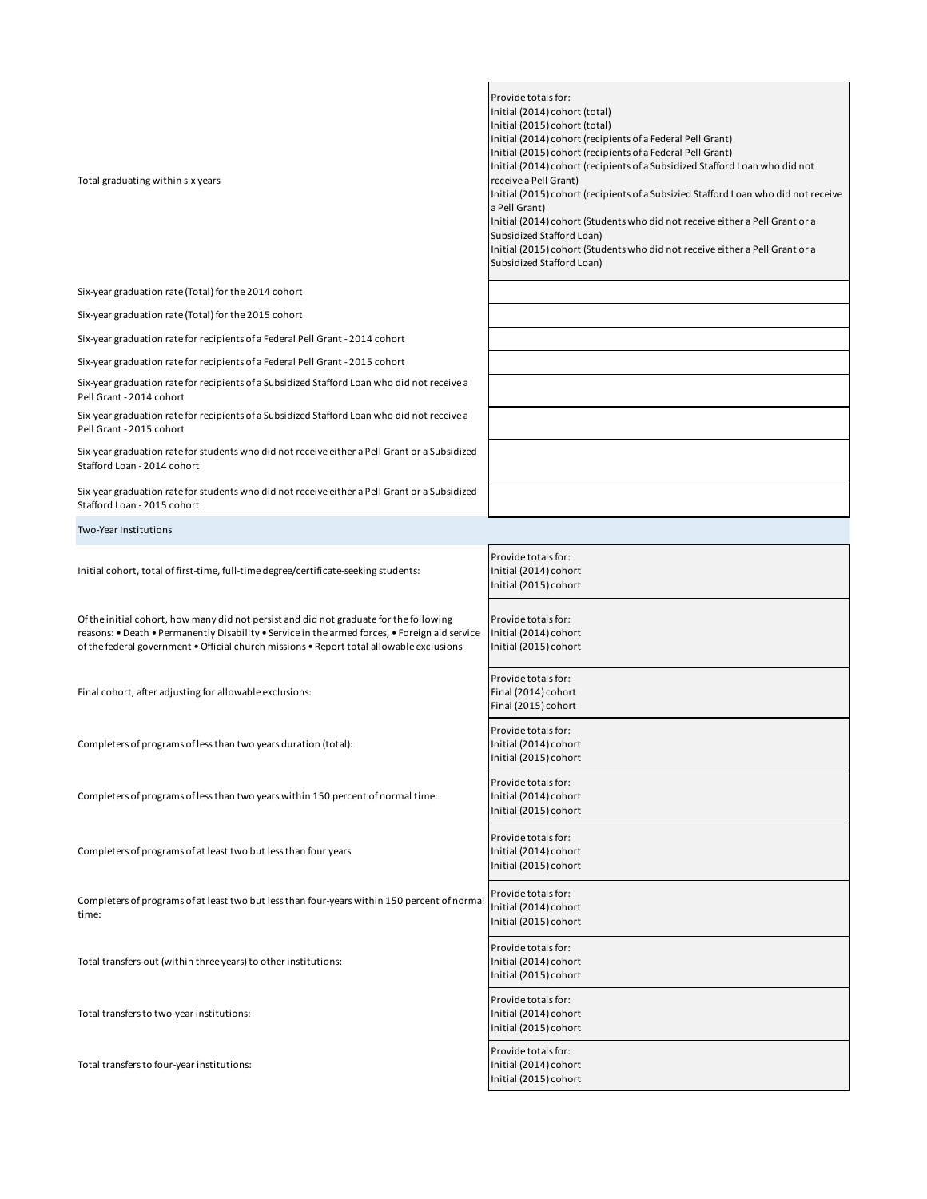| Total graduating within six years                                                                                                                                                                                                                                                    | Provide totals for:<br>Initial (2014) cohort (total)<br>Initial (2015) cohort (total)<br>Initial (2014) cohort (recipients of a Federal Pell Grant)<br>Initial (2015) cohort (recipients of a Federal Pell Grant)<br>Initial (2014) cohort (recipients of a Subsidized Stafford Loan who did not<br>receive a Pell Grant)<br>Initial (2015) cohort (recipients of a Subsizied Stafford Loan who did not receive<br>a Pell Grant)<br>Initial (2014) cohort (Students who did not receive either a Pell Grant or a<br>Subsidized Stafford Loan)<br>Initial (2015) cohort (Students who did not receive either a Pell Grant or a<br>Subsidized Stafford Loan) |
|--------------------------------------------------------------------------------------------------------------------------------------------------------------------------------------------------------------------------------------------------------------------------------------|------------------------------------------------------------------------------------------------------------------------------------------------------------------------------------------------------------------------------------------------------------------------------------------------------------------------------------------------------------------------------------------------------------------------------------------------------------------------------------------------------------------------------------------------------------------------------------------------------------------------------------------------------------|
| Six-year graduation rate (Total) for the 2014 cohort                                                                                                                                                                                                                                 |                                                                                                                                                                                                                                                                                                                                                                                                                                                                                                                                                                                                                                                            |
| Six-year graduation rate (Total) for the 2015 cohort                                                                                                                                                                                                                                 |                                                                                                                                                                                                                                                                                                                                                                                                                                                                                                                                                                                                                                                            |
| Six-year graduation rate for recipients of a Federal Pell Grant - 2014 cohort                                                                                                                                                                                                        |                                                                                                                                                                                                                                                                                                                                                                                                                                                                                                                                                                                                                                                            |
| Six-year graduation rate for recipients of a Federal Pell Grant - 2015 cohort                                                                                                                                                                                                        |                                                                                                                                                                                                                                                                                                                                                                                                                                                                                                                                                                                                                                                            |
| Six-year graduation rate for recipients of a Subsidized Stafford Loan who did not receive a<br>Pell Grant - 2014 cohort                                                                                                                                                              |                                                                                                                                                                                                                                                                                                                                                                                                                                                                                                                                                                                                                                                            |
| Six-year graduation rate for recipients of a Subsidized Stafford Loan who did not receive a<br>Pell Grant - 2015 cohort                                                                                                                                                              |                                                                                                                                                                                                                                                                                                                                                                                                                                                                                                                                                                                                                                                            |
| Six-year graduation rate for students who did not receive either a Pell Grant or a Subsidized<br>Stafford Loan - 2014 cohort                                                                                                                                                         |                                                                                                                                                                                                                                                                                                                                                                                                                                                                                                                                                                                                                                                            |
| Six-year graduation rate for students who did not receive either a Pell Grant or a Subsidized<br>Stafford Loan - 2015 cohort                                                                                                                                                         |                                                                                                                                                                                                                                                                                                                                                                                                                                                                                                                                                                                                                                                            |
| Two-Year Institutions                                                                                                                                                                                                                                                                |                                                                                                                                                                                                                                                                                                                                                                                                                                                                                                                                                                                                                                                            |
| Initial cohort, total of first-time, full-time degree/certificate-seeking students:                                                                                                                                                                                                  | Provide totals for:<br>Initial (2014) cohort<br>Initial (2015) cohort                                                                                                                                                                                                                                                                                                                                                                                                                                                                                                                                                                                      |
| Of the initial cohort, how many did not persist and did not graduate for the following<br>reasons: • Death • Permanently Disability • Service in the armed forces, • Foreign aid service<br>of the federal government . Official church missions . Report total allowable exclusions | Provide totals for:<br>Initial (2014) cohort<br>Initial (2015) cohort                                                                                                                                                                                                                                                                                                                                                                                                                                                                                                                                                                                      |
| Final cohort, after adjusting for allowable exclusions:                                                                                                                                                                                                                              | Provide totals for:<br>Final (2014) cohort<br>Final (2015) cohort                                                                                                                                                                                                                                                                                                                                                                                                                                                                                                                                                                                          |
| Completers of programs of less than two years duration (total):                                                                                                                                                                                                                      | Provide totals for:<br>Initial (2014) cohort<br>Initial (2015) cohort                                                                                                                                                                                                                                                                                                                                                                                                                                                                                                                                                                                      |
| Completers of programs of less than two years within 150 percent of normal time:                                                                                                                                                                                                     | Provide totals for:<br>Initial (2014) cohort<br>Initial (2015) cohort                                                                                                                                                                                                                                                                                                                                                                                                                                                                                                                                                                                      |
| Completers of programs of at least two but less than four years                                                                                                                                                                                                                      | Provide totals for:<br>Initial (2014) cohort<br>Initial (2015) cohort                                                                                                                                                                                                                                                                                                                                                                                                                                                                                                                                                                                      |
| Completers of programs of at least two but less than four-years within 150 percent of normal<br>time:                                                                                                                                                                                | Provide totals for:<br>Initial (2014) cohort<br>Initial (2015) cohort                                                                                                                                                                                                                                                                                                                                                                                                                                                                                                                                                                                      |
| Total transfers-out (within three years) to other institutions:                                                                                                                                                                                                                      | Provide totals for:<br>Initial (2014) cohort<br>Initial (2015) cohort                                                                                                                                                                                                                                                                                                                                                                                                                                                                                                                                                                                      |
| Total transfers to two-year institutions:                                                                                                                                                                                                                                            | Provide totals for:<br>Initial (2014) cohort<br>Initial (2015) cohort                                                                                                                                                                                                                                                                                                                                                                                                                                                                                                                                                                                      |
| Total transfers to four-year institutions:                                                                                                                                                                                                                                           | Provide totals for:<br>Initial (2014) cohort<br>Initial (2015) cohort                                                                                                                                                                                                                                                                                                                                                                                                                                                                                                                                                                                      |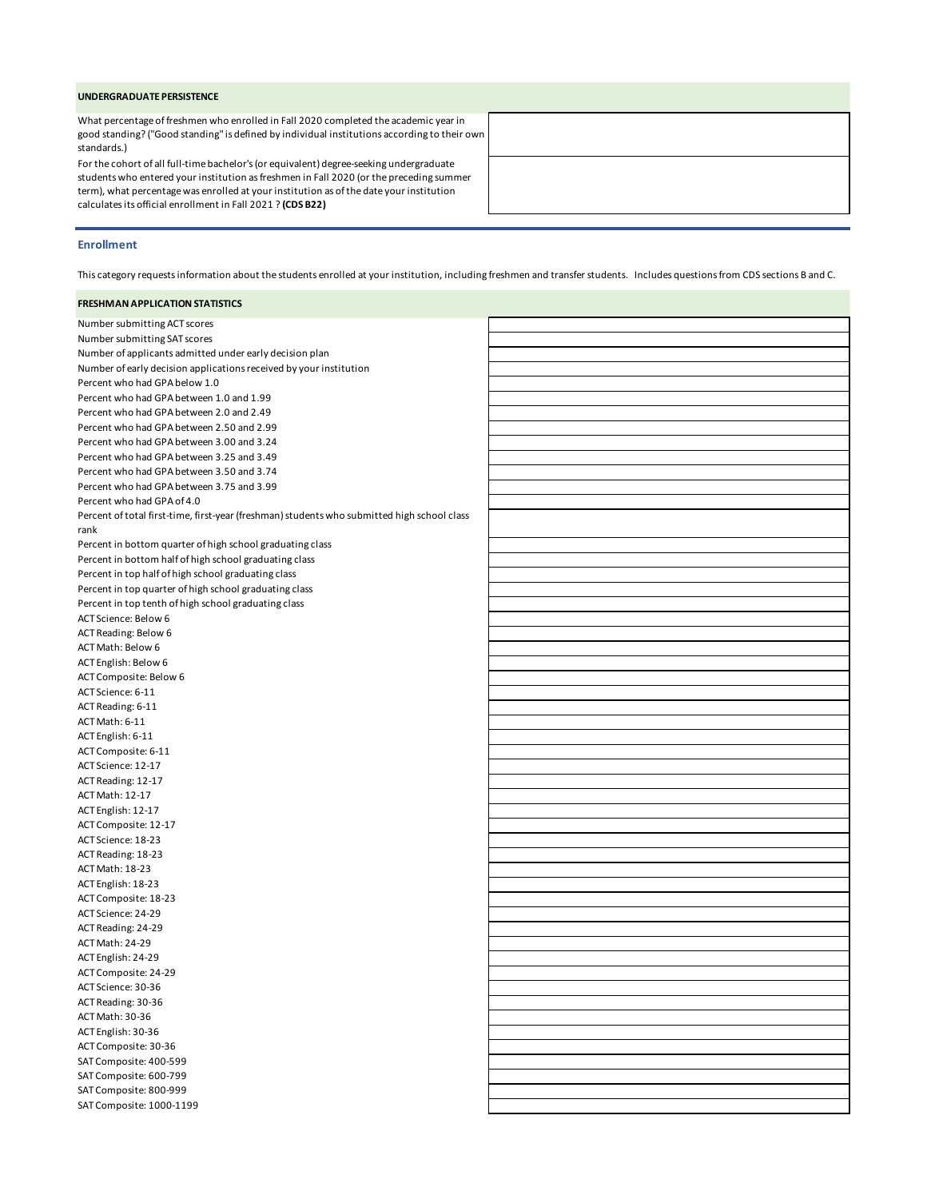#### **UNDERGRADUATE PERSISTENCE**

What percentage of freshmen who enrolled in Fall 2020 completed the academic year in good standing? ("Good standing" is defined by individual institutions according to their own standards.)

For the cohort of all full-time bachelor's (or equivalent) degree-seeking undergraduate students who entered your institution as freshmen in Fall 2020 (or the preceding summer term), what percentage was enrolled at your institution as of the date your institution calculates its official enrollment in Fall 2021 ? **(CDS B22)**

## **Enrollment**

This category requests information about the students enrolled at your institution, including freshmen and transfer students. Includes questions from CDS sections B and C.

#### **FRESHMAN APPLICATION STATISTICS**

| Number submitting ACT scores                                                                |  |
|---------------------------------------------------------------------------------------------|--|
| Number submitting SAT scores                                                                |  |
| Number of applicants admitted under early decision plan                                     |  |
| Number of early decision applications received by your institution                          |  |
| Percent who had GPA below 1.0                                                               |  |
| Percent who had GPA between 1.0 and 1.99                                                    |  |
| Percent who had GPA between 2.0 and 2.49                                                    |  |
| Percent who had GPA between 2.50 and 2.99                                                   |  |
| Percent who had GPA between 3.00 and 3.24                                                   |  |
| Percent who had GPA between 3.25 and 3.49                                                   |  |
| Percent who had GPA between 3.50 and 3.74                                                   |  |
| Percent who had GPA between 3.75 and 3.99                                                   |  |
| Percent who had GPA of 4.0                                                                  |  |
| Percent of total first-time, first-year (freshman) students who submitted high school class |  |
| rank                                                                                        |  |
| Percent in bottom quarter of high school graduating class                                   |  |
| Percent in bottom half of high school graduating class                                      |  |
| Percent in top half of high school graduating class                                         |  |
| Percent in top quarter of high school graduating class                                      |  |
| Percent in top tenth of high school graduating class                                        |  |
| ACT Science: Below 6                                                                        |  |
| <b>ACT Reading: Below 6</b>                                                                 |  |
| ACT Math: Below 6                                                                           |  |
| ACT English: Below 6                                                                        |  |
| ACT Composite: Below 6                                                                      |  |
| ACT Science: 6-11                                                                           |  |
| ACT Reading: 6-11                                                                           |  |
| ACT Math: 6-11                                                                              |  |
| ACT English: 6-11                                                                           |  |
| ACT Composite: 6-11                                                                         |  |
| ACT Science: 12-17                                                                          |  |
| ACT Reading: 12-17                                                                          |  |
| ACT Math: 12-17                                                                             |  |
| ACT English: 12-17                                                                          |  |
| ACT Composite: 12-17                                                                        |  |
| ACT Science: 18-23                                                                          |  |
| ACT Reading: 18-23                                                                          |  |
| ACT Math: 18-23                                                                             |  |
| ACT English: 18-23                                                                          |  |
| ACT Composite: 18-23                                                                        |  |
| ACT Science: 24-29                                                                          |  |
| ACT Reading: 24-29                                                                          |  |
| <b>ACT Math: 24-29</b>                                                                      |  |
| ACT English: 24-29                                                                          |  |
| ACT Composite: 24-29                                                                        |  |
| ACT Science: 30-36                                                                          |  |
| ACT Reading: 30-36                                                                          |  |
| <b>ACT Math: 30-36</b>                                                                      |  |
| ACT English: 30-36                                                                          |  |
| ACT Composite: 30-36                                                                        |  |
| SAT Composite: 400-599                                                                      |  |
| SAT Composite: 600-799                                                                      |  |
| SAT Composite: 800-999                                                                      |  |
| SAT Composite: 1000-1199                                                                    |  |
|                                                                                             |  |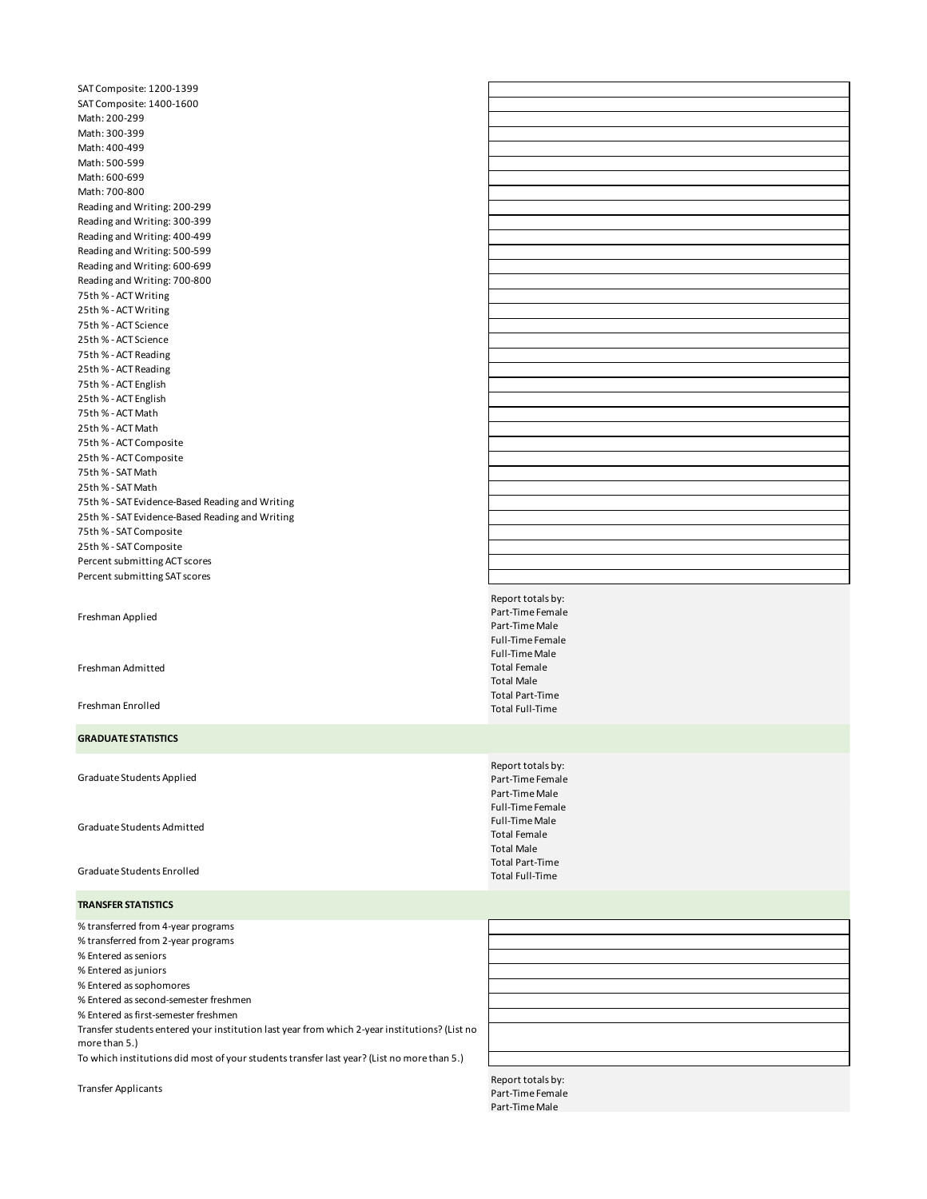SAT Composite: 1200-1399 SAT Composite: 1400-1600 Math: 200-299 Math: 300-399 Math: 400-499 Math: 500-599 Math: 600-699 Math: 700-800 Reading and Writing: 200-299 Reading and Writing: 300-399 Reading and Writing: 400-499 Reading and Writing: 500-599 Reading and Writing: 600-699 Reading and Writing: 700-800 75th % - ACT Writing 25th % - ACT Writing 75th % - ACT Science 25th % - ACT Science 75th % - ACT Reading 25th % - ACT Reading 75th % - ACT English 25th % - ACT English 75th % - ACT Math 25th % - ACT Math 75th % - ACT Composite 25th % - ACT Composite 75th % - SAT Math 25th % - SAT Math 75th % - SAT Evidence-Based Reading and Writing 25th % - SAT Evidence-Based Reading and Writing 75th % - SAT Composite 25th % - SAT Composite Percent submitting ACT scores Percent submitting SAT scores

Freshman Applied

Freshman Admitted

Freshman Enrolled

### **GRADUATE STATISTICS**

Graduate Students Applied

Graduate Students Admitted

Graduate Students Enrolled

**TRANSFER STATISTICS**

% transferred from 4-year programs

% transferred from 2-year programs

% Entered as seniors % Entered as juniors

% Entered as sophomores

% Entered as second-semester freshmen

% Entered as first-semester freshmen

Transfer students entered your institution last year from which 2-year institutions? (List no more than 5.)

To which institutions did most of your students transfer last year? (List no more than 5.)

Report totals by: Part-Time Female Part-Time Male Full-Time Female Full-Time Male Total Female Total Male Total Part-Time Total Full-Time

Report totals by: Part-Time Female Part-Time Male Full-Time Female Full-Time Male Total Female Total Male Total Part-Time Total Full-Time

Report totals by:<br>
Transfer Applicants<br>
Report Time Female Part-Time Female Part-Time Male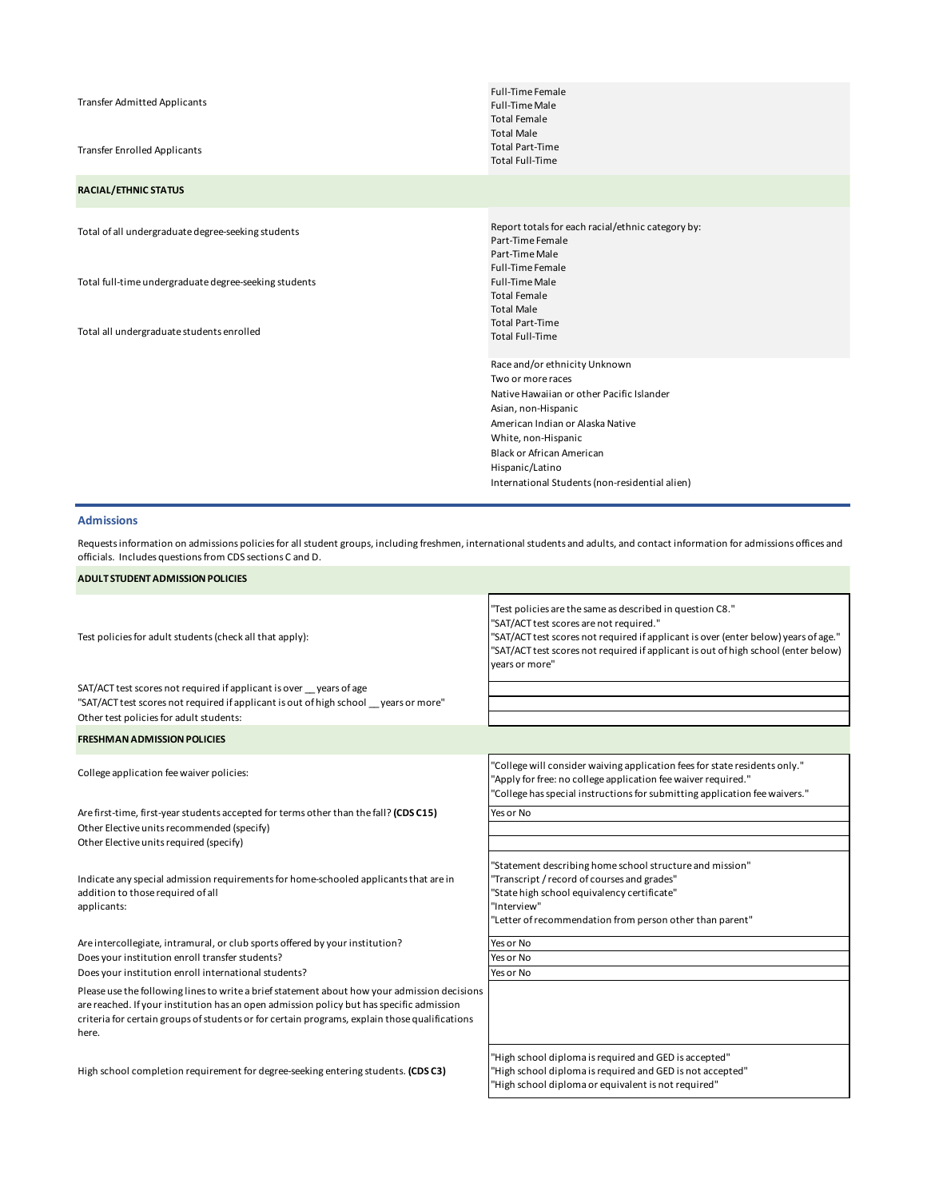|                                                       | <b>Full-Time Female</b>                           |
|-------------------------------------------------------|---------------------------------------------------|
| <b>Transfer Admitted Applicants</b>                   | <b>Full-Time Male</b>                             |
|                                                       | <b>Total Female</b>                               |
|                                                       | <b>Total Male</b>                                 |
| <b>Transfer Enrolled Applicants</b>                   | <b>Total Part-Time</b>                            |
|                                                       | <b>Total Full-Time</b>                            |
| <b>RACIAL/ETHNIC STATUS</b>                           |                                                   |
|                                                       |                                                   |
| Total of all undergraduate degree-seeking students    | Report totals for each racial/ethnic category by: |
|                                                       | Part-Time Female                                  |
|                                                       | Part-Time Male                                    |
|                                                       | <b>Full-Time Female</b>                           |
| Total full-time undergraduate degree-seeking students | <b>Full-Time Male</b>                             |
|                                                       | <b>Total Female</b>                               |
|                                                       | <b>Total Male</b>                                 |
| Total all undergraduate students enrolled             | <b>Total Part-Time</b>                            |
|                                                       | <b>Total Full-Time</b>                            |
|                                                       | Race and/or ethnicity Unknown                     |
|                                                       | Two or more races                                 |
|                                                       | Native Hawaiian or other Pacific Islander         |
|                                                       | Asian, non-Hispanic                               |
|                                                       | American Indian or Alaska Native                  |
|                                                       | White, non-Hispanic                               |
|                                                       | <b>Black or African American</b>                  |
|                                                       | Hispanic/Latino                                   |
|                                                       | International Students (non-residential alien)    |

# **Admissions**

Requests information on admissions policies for all student groups, including freshmen, international students and adults, and contact information for admissions offices and officials. Includes questions from CDS sections C and D.

| <b>ADULT STUDENT ADMISSION POLICIES</b>                                                                                                                                                                                                                                                            |                                                                                                                                                                                                                                                                                                     |
|----------------------------------------------------------------------------------------------------------------------------------------------------------------------------------------------------------------------------------------------------------------------------------------------------|-----------------------------------------------------------------------------------------------------------------------------------------------------------------------------------------------------------------------------------------------------------------------------------------------------|
| Test policies for adult students (check all that apply):                                                                                                                                                                                                                                           | "Test policies are the same as described in question C8."<br>"SAT/ACT test scores are not required."<br>"SAT/ACT test scores not required if applicant is over (enter below) years of age."<br>"SAT/ACT test scores not required if applicant is out of high school (enter below)<br>vears or more" |
| SAT/ACT test scores not required if applicant is over years of age<br>"SAT/ACT test scores not required if applicant is out of high school years or more"<br>Other test policies for adult students:                                                                                               |                                                                                                                                                                                                                                                                                                     |
| <b>FRESHMAN ADMISSION POLICIES</b>                                                                                                                                                                                                                                                                 |                                                                                                                                                                                                                                                                                                     |
| College application fee waiver policies:                                                                                                                                                                                                                                                           | "College will consider waiving application fees for state residents only."<br>"Apply for free: no college application fee waiver required."<br>"College has special instructions for submitting application fee waivers."                                                                           |
| Are first-time, first-year students accepted for terms other than the fall? (CDS C15)                                                                                                                                                                                                              | Yes or No                                                                                                                                                                                                                                                                                           |
| Other Elective units recommended (specify)<br>Other Elective units required (specify)                                                                                                                                                                                                              |                                                                                                                                                                                                                                                                                                     |
| Indicate any special admission requirements for home-schooled applicants that are in<br>addition to those required of all<br>applicants:                                                                                                                                                           | "Statement describing home school structure and mission"<br>"Transcript / record of courses and grades"<br>"State high school equivalency certificate"<br>"Interview"<br>"Letter of recommendation from person other than parent"                                                                   |
| Are intercollegiate, intramural, or club sports offered by your institution?                                                                                                                                                                                                                       | Yes or No                                                                                                                                                                                                                                                                                           |
| Does your institution enroll transfer students?                                                                                                                                                                                                                                                    | Yes or No                                                                                                                                                                                                                                                                                           |
| Does your institution enroll international students?                                                                                                                                                                                                                                               | Yes or No                                                                                                                                                                                                                                                                                           |
| Please use the following lines to write a brief statement about how your admission decisions<br>are reached. If your institution has an open admission policy but has specific admission<br>criteria for certain groups of students or for certain programs, explain those qualifications<br>here. |                                                                                                                                                                                                                                                                                                     |
| High school completion requirement for degree-seeking entering students. (CDS C3)                                                                                                                                                                                                                  | "High school diploma is required and GED is accepted"<br>"High school diploma is required and GED is not accepted"<br>"High school diploma or equivalent is not required"                                                                                                                           |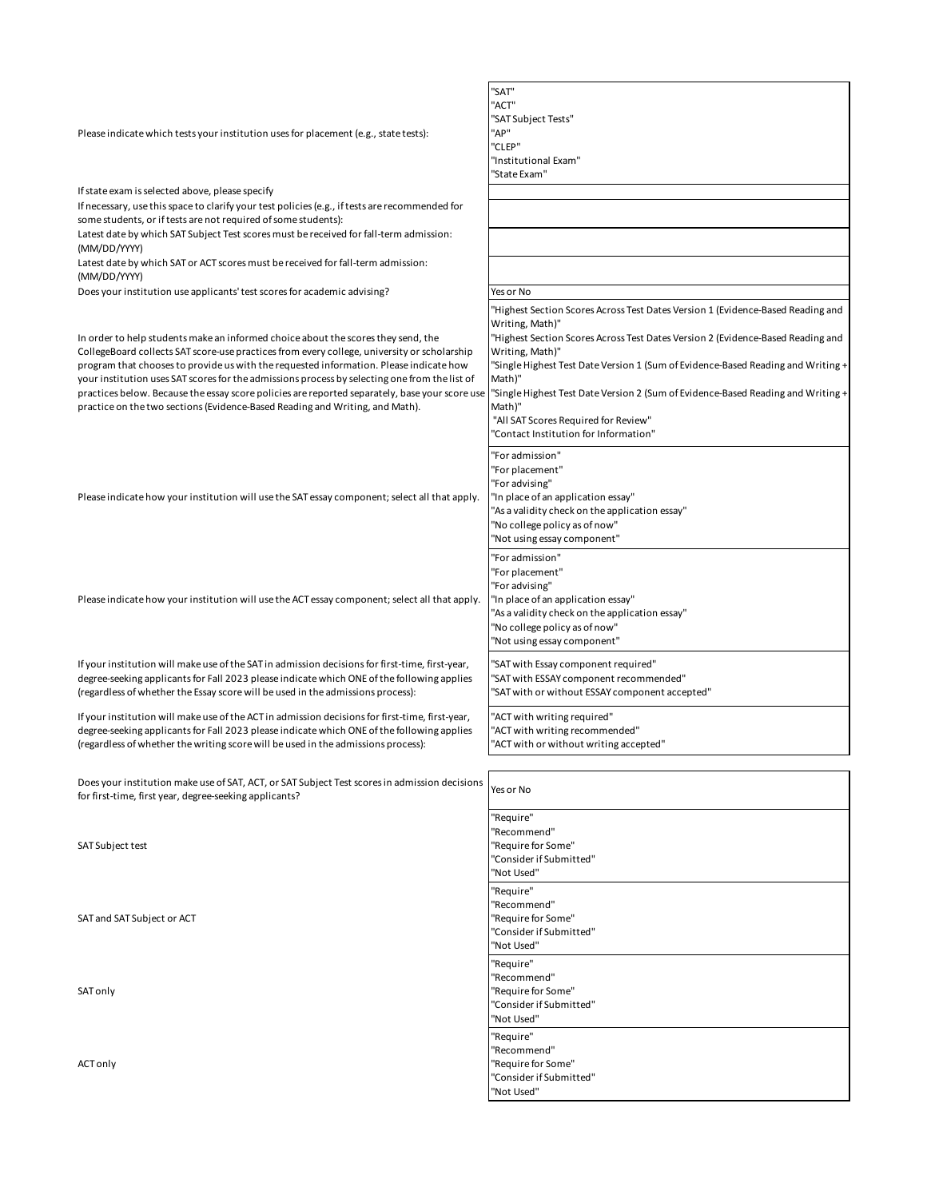| Please indicate which tests your institution uses for placement (e.g., state tests):                                                                                                                                                                                                                                                                                                                                                                                                                                                                          | "SAT"<br>"ACT"                                                                                                                                                                                                                                                                                                                                                                                                                               |
|---------------------------------------------------------------------------------------------------------------------------------------------------------------------------------------------------------------------------------------------------------------------------------------------------------------------------------------------------------------------------------------------------------------------------------------------------------------------------------------------------------------------------------------------------------------|----------------------------------------------------------------------------------------------------------------------------------------------------------------------------------------------------------------------------------------------------------------------------------------------------------------------------------------------------------------------------------------------------------------------------------------------|
|                                                                                                                                                                                                                                                                                                                                                                                                                                                                                                                                                               | "SAT Subject Tests"                                                                                                                                                                                                                                                                                                                                                                                                                          |
|                                                                                                                                                                                                                                                                                                                                                                                                                                                                                                                                                               | "AP"                                                                                                                                                                                                                                                                                                                                                                                                                                         |
|                                                                                                                                                                                                                                                                                                                                                                                                                                                                                                                                                               | "CLEP"<br>"Institutional Exam"                                                                                                                                                                                                                                                                                                                                                                                                               |
|                                                                                                                                                                                                                                                                                                                                                                                                                                                                                                                                                               | "State Exam"                                                                                                                                                                                                                                                                                                                                                                                                                                 |
| If state exam is selected above, please specify                                                                                                                                                                                                                                                                                                                                                                                                                                                                                                               |                                                                                                                                                                                                                                                                                                                                                                                                                                              |
| If necessary, use this space to clarify your test policies (e.g., if tests are recommended for<br>some students, or if tests are not required of some students):                                                                                                                                                                                                                                                                                                                                                                                              |                                                                                                                                                                                                                                                                                                                                                                                                                                              |
| Latest date by which SAT Subject Test scores must be received for fall-term admission:<br>(MM/DD/YYYY)                                                                                                                                                                                                                                                                                                                                                                                                                                                        |                                                                                                                                                                                                                                                                                                                                                                                                                                              |
| Latest date by which SAT or ACT scores must be received for fall-term admission:<br>(MM/DD/YYYY)                                                                                                                                                                                                                                                                                                                                                                                                                                                              |                                                                                                                                                                                                                                                                                                                                                                                                                                              |
| Does your institution use applicants' test scores for academic advising?                                                                                                                                                                                                                                                                                                                                                                                                                                                                                      | Yes or No                                                                                                                                                                                                                                                                                                                                                                                                                                    |
| In order to help students make an informed choice about the scores they send, the<br>CollegeBoard collects SAT score-use practices from every college, university or scholarship<br>program that chooses to provide us with the requested information. Please indicate how<br>your institution uses SAT scores for the admissions process by selecting one from the list of<br>practices below. Because the essay score policies are reported separately, base your score use<br>practice on the two sections (Evidence-Based Reading and Writing, and Math). | "Highest Section Scores Across Test Dates Version 1 (Evidence-Based Reading and<br>Writing, Math)"<br>"Highest Section Scores Across Test Dates Version 2 (Evidence-Based Reading and<br>Writing, Math)"<br>"Single Highest Test Date Version 1 (Sum of Evidence-Based Reading and Writing +<br>Math)"<br>"Single Highest Test Date Version 2 (Sum of Evidence-Based Reading and Writing +<br>Math)"<br>"All SAT Scores Required for Review" |
| Please indicate how your institution will use the SAT essay component; select all that apply.                                                                                                                                                                                                                                                                                                                                                                                                                                                                 | "Contact Institution for Information"<br>"For admission"<br>"For placement"<br>"For advising"<br>"In place of an application essay"<br>"As a validity check on the application essay"<br>"No college policy as of now"<br>"Not using essay component"                                                                                                                                                                                        |
| Please indicate how your institution will use the ACT essay component; select all that apply.                                                                                                                                                                                                                                                                                                                                                                                                                                                                 | "For admission"<br>"For placement"<br>'For advising"<br>"In place of an application essay"<br>'As a validity check on the application essay"<br>"No college policy as of now"<br>'Not using essay component"                                                                                                                                                                                                                                 |
| If your institution will make use of the SAT in admission decisions for first-time, first-year,<br>degree-seeking applicants for Fall 2023 please indicate which ONE of the following applies<br>(regardless of whether the Essay score will be used in the admissions process):                                                                                                                                                                                                                                                                              | "SAT with Essay component required"<br>"SAT with ESSAY component recommended"<br>"SAT with or without ESSAY component accepted"                                                                                                                                                                                                                                                                                                              |
| If your institution will make use of the ACT in admission decisions for first-time, first-year,<br>degree-seeking applicants for Fall 2023 please indicate which ONE of the following applies<br>(regardless of whether the writing score will be used in the admissions process):                                                                                                                                                                                                                                                                            | "ACT with writing required"<br>'ACT with writing recommended"<br>"ACT with or without writing accepted"                                                                                                                                                                                                                                                                                                                                      |
|                                                                                                                                                                                                                                                                                                                                                                                                                                                                                                                                                               |                                                                                                                                                                                                                                                                                                                                                                                                                                              |
| Does your institution make use of SAT, ACT, or SAT Subject Test scores in admission decisions<br>for first-time, first year, degree-seeking applicants?                                                                                                                                                                                                                                                                                                                                                                                                       | Yes or No                                                                                                                                                                                                                                                                                                                                                                                                                                    |
| SAT Subject test                                                                                                                                                                                                                                                                                                                                                                                                                                                                                                                                              | "Require"<br>'Recommend"<br>'Require for Some"<br>"Consider if Submitted"<br>"Not Used"                                                                                                                                                                                                                                                                                                                                                      |
| SAT and SAT Subject or ACT                                                                                                                                                                                                                                                                                                                                                                                                                                                                                                                                    | "Require"<br>'Recommend"<br>"Require for Some"<br>"Consider if Submitted"<br>"Not Used"                                                                                                                                                                                                                                                                                                                                                      |
| SAT only                                                                                                                                                                                                                                                                                                                                                                                                                                                                                                                                                      | "Require"<br>'Recommend''<br>"Require for Some"<br>"Consider if Submitted"<br>"Not Used"                                                                                                                                                                                                                                                                                                                                                     |
| ACT only                                                                                                                                                                                                                                                                                                                                                                                                                                                                                                                                                      | "Require"<br>'Recommend''<br>'Require for Some"<br>"Consider if Submitted"<br>'Not Used"                                                                                                                                                                                                                                                                                                                                                     |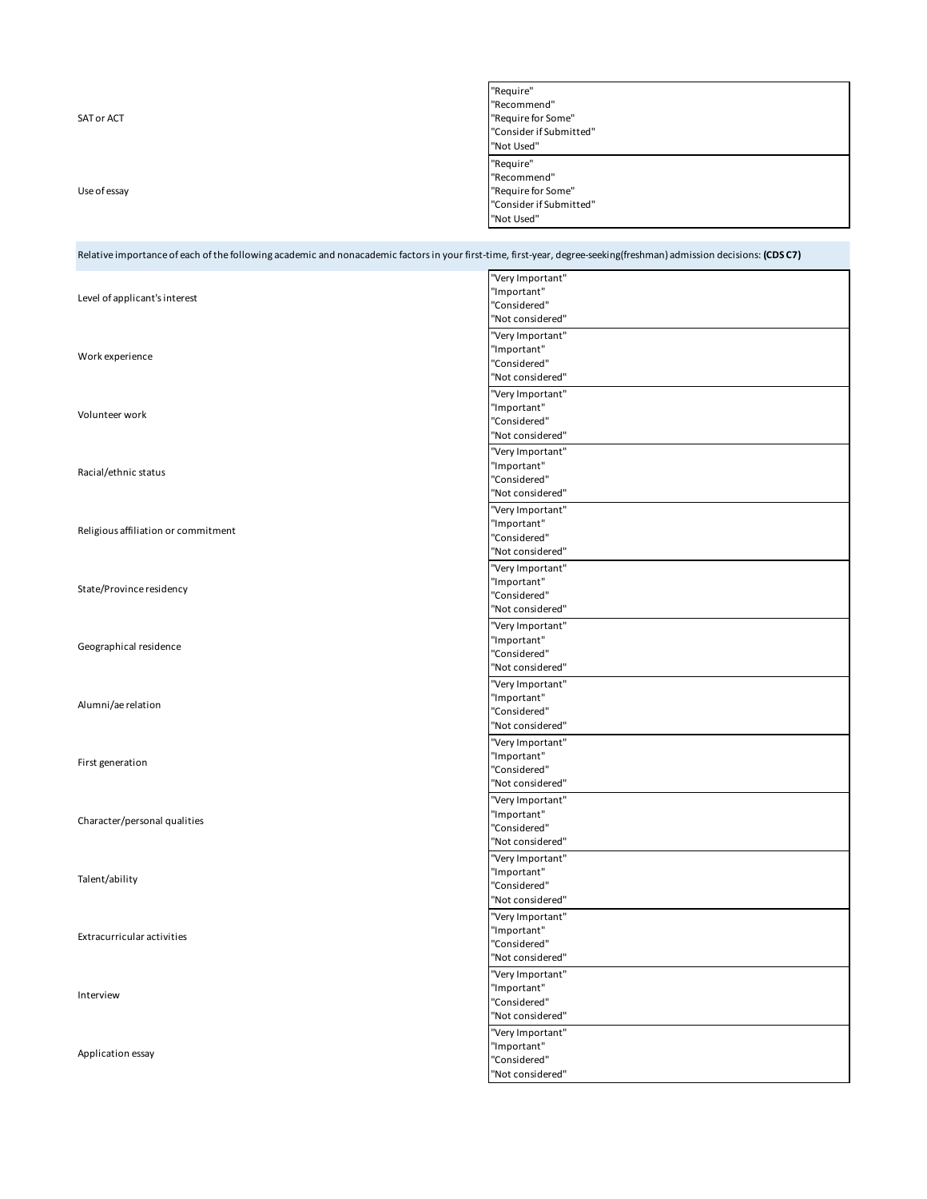|              | "Require"               |
|--------------|-------------------------|
|              | "Recommend"             |
| SAT or ACT   | "Require for Some"      |
|              | "Consider if Submitted" |
|              | "Not Used"              |
|              | "Require"               |
|              | "Recommend"             |
| Use of essay | "Require for Some"      |
|              | "Consider if Submitted" |
|              | "Not Used"              |
|              |                         |

| Relative importance of each of the following academic and nonacademic factors in your first-time, first-year, degree-seeking(freshman) admission decisions: (CDSC7) |                  |
|---------------------------------------------------------------------------------------------------------------------------------------------------------------------|------------------|
|                                                                                                                                                                     | "Very Important" |
|                                                                                                                                                                     | "Important"      |
| Level of applicant's interest                                                                                                                                       | "Considered"     |
|                                                                                                                                                                     | "Not considered" |
|                                                                                                                                                                     | "Very Important" |
|                                                                                                                                                                     | "Important"      |
| Work experience                                                                                                                                                     | "Considered"     |
|                                                                                                                                                                     | "Not considered" |
|                                                                                                                                                                     | "Very Important" |
|                                                                                                                                                                     | "Important"      |
| Volunteer work                                                                                                                                                      | "Considered"     |
|                                                                                                                                                                     | "Not considered" |
|                                                                                                                                                                     | "Very Important" |
|                                                                                                                                                                     | "Important"      |
| Racial/ethnic status                                                                                                                                                | "Considered"     |
|                                                                                                                                                                     | "Not considered" |
|                                                                                                                                                                     |                  |
|                                                                                                                                                                     | "Very Important" |
| Religious affiliation or commitment                                                                                                                                 | "Important"      |
|                                                                                                                                                                     | "Considered"     |
|                                                                                                                                                                     | "Not considered" |
|                                                                                                                                                                     | "Very Important" |
| State/Province residency                                                                                                                                            | "Important"      |
|                                                                                                                                                                     | "Considered"     |
|                                                                                                                                                                     | "Not considered" |
|                                                                                                                                                                     | "Very Important" |
|                                                                                                                                                                     | "Important"      |
| Geographical residence                                                                                                                                              | "Considered"     |
|                                                                                                                                                                     | "Not considered" |
|                                                                                                                                                                     | "Very Important" |
|                                                                                                                                                                     | "Important"      |
| Alumni/ae relation                                                                                                                                                  | "Considered"     |
|                                                                                                                                                                     | "Not considered" |
|                                                                                                                                                                     |                  |
|                                                                                                                                                                     | "Very Important" |
| First generation                                                                                                                                                    | "Important"      |
|                                                                                                                                                                     | "Considered"     |
|                                                                                                                                                                     | "Not considered" |
|                                                                                                                                                                     | "Very Important" |
| Character/personal qualities                                                                                                                                        | "Important"      |
|                                                                                                                                                                     | "Considered"     |
|                                                                                                                                                                     | "Not considered" |
|                                                                                                                                                                     | "Very Important" |
| Talent/ability                                                                                                                                                      | "Important"      |
|                                                                                                                                                                     | "Considered"     |
|                                                                                                                                                                     | "Not considered" |
| Extracurricular activities                                                                                                                                          | "Very Important" |
|                                                                                                                                                                     | "Important"      |
|                                                                                                                                                                     | "Considered"     |
|                                                                                                                                                                     | "Not considered" |
| Interview                                                                                                                                                           | "Very Important" |
|                                                                                                                                                                     | "Important"      |
|                                                                                                                                                                     | "Considered"     |
|                                                                                                                                                                     | "Not considered" |
|                                                                                                                                                                     |                  |
|                                                                                                                                                                     | "Very Important" |
| Application essay                                                                                                                                                   | "Important"      |
|                                                                                                                                                                     | "Considered"     |
|                                                                                                                                                                     | "Not considered" |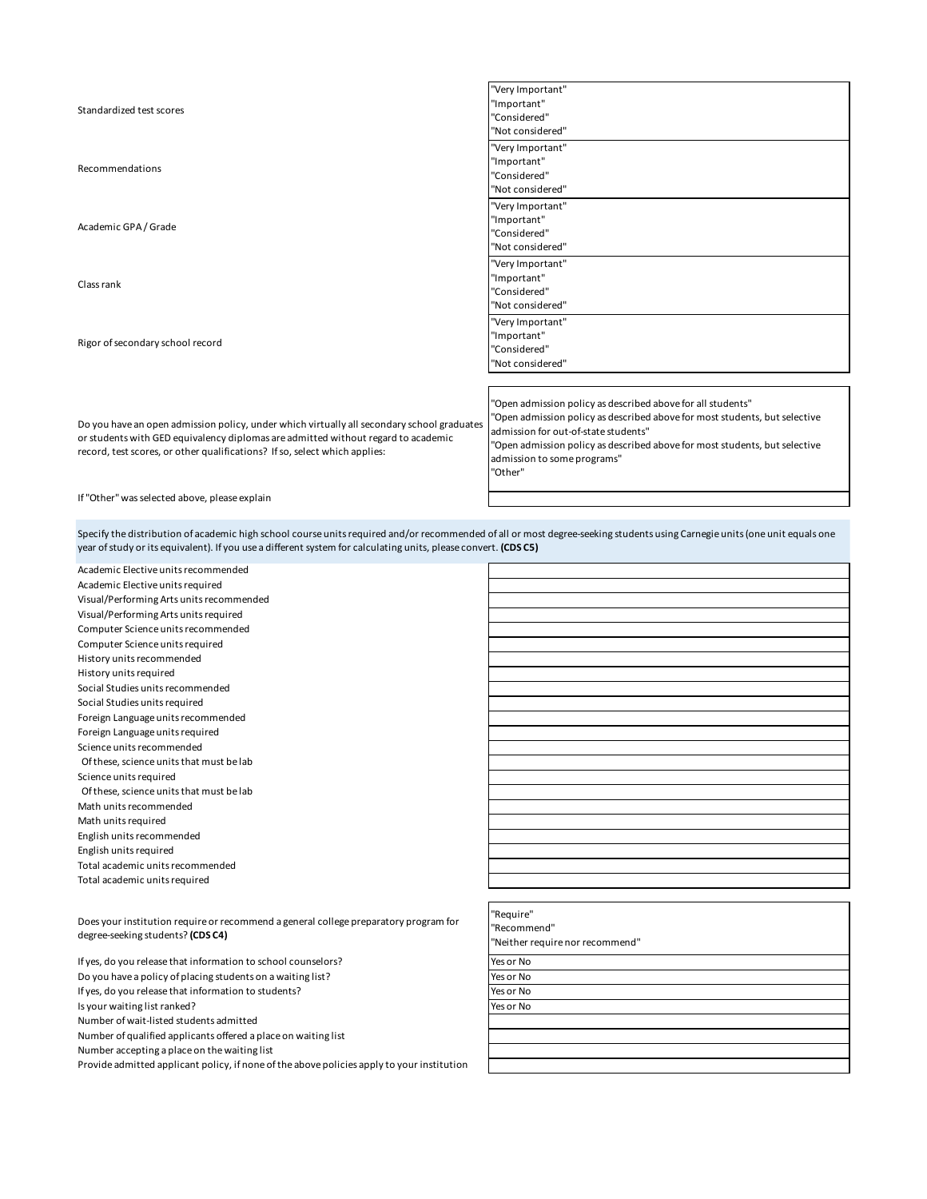| Standardized test scores                                                                                                                                                                                                                                      | "Very Important"<br>"Important"<br>"Considered"<br>"Not considered"                                                                                                                                                                                                                                       |
|---------------------------------------------------------------------------------------------------------------------------------------------------------------------------------------------------------------------------------------------------------------|-----------------------------------------------------------------------------------------------------------------------------------------------------------------------------------------------------------------------------------------------------------------------------------------------------------|
| Recommendations                                                                                                                                                                                                                                               | "Very Important"<br>"Important"<br>"Considered"<br>"Not considered"                                                                                                                                                                                                                                       |
| Academic GPA / Grade                                                                                                                                                                                                                                          | "Very Important"<br>"Important"<br>"Considered"<br>"Not considered"                                                                                                                                                                                                                                       |
| Class rank                                                                                                                                                                                                                                                    | "Very Important"<br>"Important"<br>"Considered"<br>"Not considered"                                                                                                                                                                                                                                       |
| Rigor of secondary school record                                                                                                                                                                                                                              | "Very Important"<br>"Important"<br>"Considered"<br>"Not considered"                                                                                                                                                                                                                                       |
|                                                                                                                                                                                                                                                               |                                                                                                                                                                                                                                                                                                           |
| Do you have an open admission policy, under which virtually all secondary school graduates<br>or students with GED equivalency diplomas are admitted without regard to academic<br>record, test scores, or other qualifications? If so, select which applies: | "Open admission policy as described above for all students"<br>"Open admission policy as described above for most students, but selective<br>admission for out-of-state students"<br>"Open admission policy as described above for most students, but selective<br>admission to some programs"<br>"Other" |

If "Other" was selected above, please explain

Specify the distribution of academic high school course units required and/or recommended of all or most degree-seeking students using Carnegie units (one unit equals one year of study or its equivalent). If you use a different system for calculating units, please convert. **(CDS C5)**

| Academic Elective units recommended                                                        |                                 |
|--------------------------------------------------------------------------------------------|---------------------------------|
| Academic Elective units required                                                           |                                 |
| Visual/Performing Arts units recommended                                                   |                                 |
| Visual/Performing Arts units required                                                      |                                 |
| Computer Science units recommended                                                         |                                 |
| Computer Science units required                                                            |                                 |
| History units recommended                                                                  |                                 |
| History units required                                                                     |                                 |
| Social Studies units recommended                                                           |                                 |
| Social Studies units required                                                              |                                 |
| Foreign Language units recommended                                                         |                                 |
| Foreign Language units required                                                            |                                 |
| Science units recommended                                                                  |                                 |
| Of these, science units that must be lab                                                   |                                 |
| Science units required                                                                     |                                 |
| Of these, science units that must be lab                                                   |                                 |
| Math units recommended                                                                     |                                 |
| Math units required                                                                        |                                 |
| English units recommended                                                                  |                                 |
| English units required                                                                     |                                 |
| Total academic units recommended                                                           |                                 |
| Total academic units required                                                              |                                 |
|                                                                                            |                                 |
|                                                                                            | "Require"                       |
| Does your institution require or recommend a general college preparatory program for       | "Recommend"                     |
| degree-seeking students? (CDS C4)                                                          | "Neither require nor recommend" |
| If yes, do you release that information to school counselors?                              | Yes or No                       |
| Do you have a policy of placing students on a waiting list?                                | Yes or No                       |
| If yes, do you release that information to students?                                       | Yes or No                       |
| Is your waiting list ranked?                                                               | Yes or No                       |
| Number of wait-listed students admitted                                                    |                                 |
| Number of qualified applicants offered a place on waiting list                             |                                 |
| Number accepting a place on the waiting list                                               |                                 |
| Provide admitted applicant policy, if none of the above policies apply to your institution |                                 |
|                                                                                            |                                 |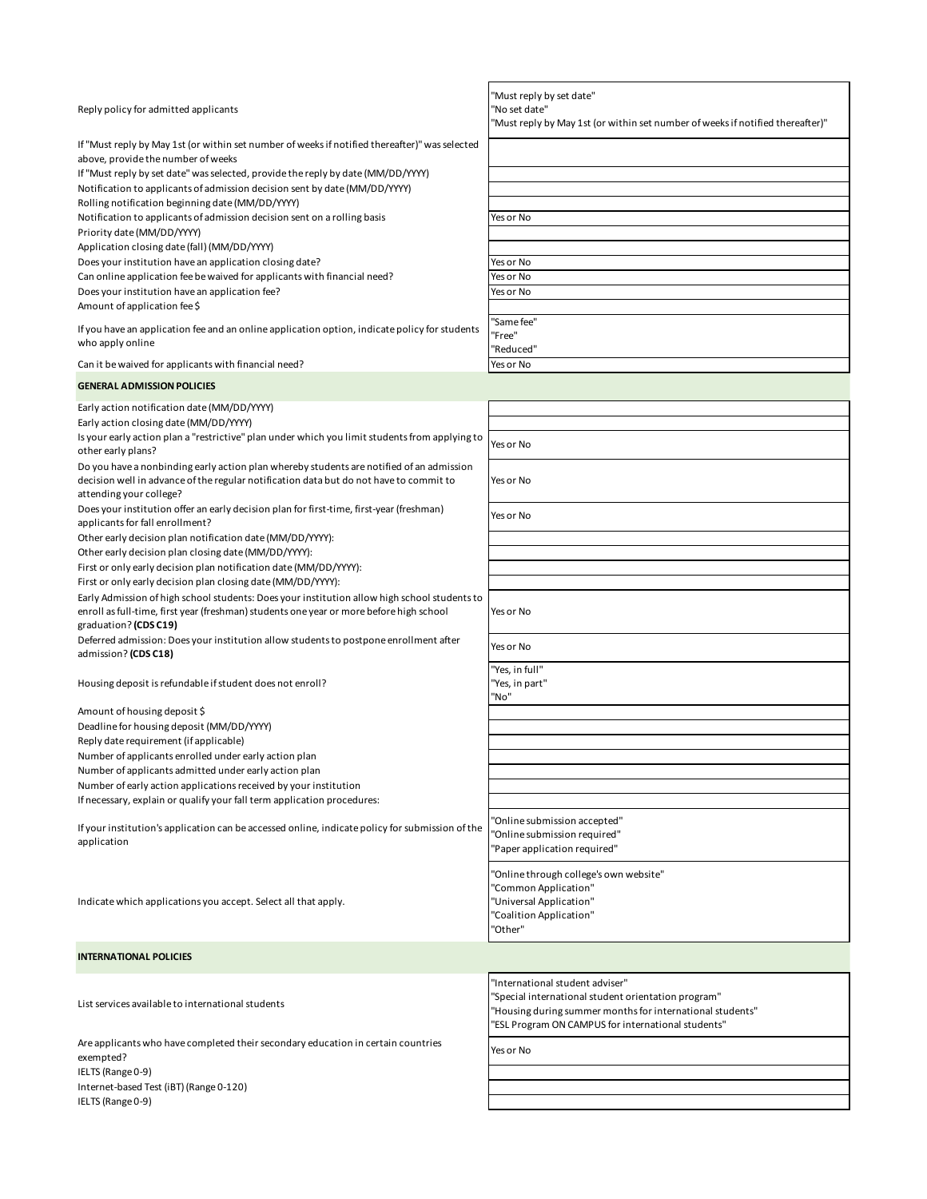| Reply policy for admitted applicants                                                            | "Must reply by set date"<br>"No set date"<br>'Must reply by May 1st (or within set number of weeks if notified thereafter)" |
|-------------------------------------------------------------------------------------------------|-----------------------------------------------------------------------------------------------------------------------------|
| If "Must reply by May 1st (or within set number of weeks if notified thereafter)" was selected  |                                                                                                                             |
| above, provide the number of weeks                                                              |                                                                                                                             |
| If "Must reply by set date" was selected, provide the reply by date (MM/DD/YYYY)                |                                                                                                                             |
| Notification to applicants of admission decision sent by date (MM/DD/YYYY)                      |                                                                                                                             |
| Rolling notification beginning date (MM/DD/YYYY)                                                |                                                                                                                             |
| Notification to applicants of admission decision sent on a rolling basis                        | Yes or No                                                                                                                   |
| Priority date (MM/DD/YYYY)                                                                      |                                                                                                                             |
| Application closing date (fall) (MM/DD/YYYY)                                                    |                                                                                                                             |
| Does your institution have an application closing date?                                         | Yes or No                                                                                                                   |
| Can online application fee be waived for applicants with financial need?                        | Yes or No                                                                                                                   |
| Does your institution have an application fee?                                                  | Yes or No                                                                                                                   |
| Amount of application fee \$                                                                    |                                                                                                                             |
|                                                                                                 | 'Same fee"                                                                                                                  |
| If you have an application fee and an online application option, indicate policy for students   | 'Free"                                                                                                                      |
| who apply online                                                                                | 'Reduced"                                                                                                                   |
| Can it be waived for applicants with financial need?                                            | Yes or No                                                                                                                   |
|                                                                                                 |                                                                                                                             |
| <b>GENERAL ADMISSION POLICIES</b>                                                               |                                                                                                                             |
| Early action notification date (MM/DD/YYYY)                                                     |                                                                                                                             |
|                                                                                                 |                                                                                                                             |
| Early action closing date (MM/DD/YYYY)                                                          |                                                                                                                             |
| Is your early action plan a "restrictive" plan under which you limit students from applying to  | Yes or No                                                                                                                   |
| other early plans?                                                                              |                                                                                                                             |
| Do you have a nonbinding early action plan whereby students are notified of an admission        |                                                                                                                             |
| decision well in advance of the regular notification data but do not have to commit to          | Yes or No                                                                                                                   |
| attending your college?                                                                         |                                                                                                                             |
| Does your institution offer an early decision plan for first-time, first-year (freshman)        | Yes or No                                                                                                                   |
| applicants for fall enrollment?                                                                 |                                                                                                                             |
| Other early decision plan notification date (MM/DD/YYYY):                                       |                                                                                                                             |
| Other early decision plan closing date (MM/DD/YYYY):                                            |                                                                                                                             |
| First or only early decision plan notification date (MM/DD/YYYY):                               |                                                                                                                             |
| First or only early decision plan closing date (MM/DD/YYYY):                                    |                                                                                                                             |
| Early Admission of high school students: Does your institution allow high school students to    |                                                                                                                             |
| enroll as full-time, first year (freshman) students one year or more before high school         | Yes or No                                                                                                                   |
| graduation? (CDS C19)                                                                           |                                                                                                                             |
| Deferred admission: Does your institution allow students to postpone enrollment after           |                                                                                                                             |
| admission? (CDS C18)                                                                            | Yes or No                                                                                                                   |
|                                                                                                 | 'Yes, in full"                                                                                                              |
| Housing deposit is refundable if student does not enroll?                                       | 'Yes, in part"                                                                                                              |
|                                                                                                 | 'No"                                                                                                                        |
| Amount of housing deposit \$                                                                    |                                                                                                                             |
| Deadline for housing deposit (MM/DD/YYYY)                                                       |                                                                                                                             |
| Reply date requirement (if applicable)                                                          |                                                                                                                             |
| Number of applicants enrolled under early action plan                                           |                                                                                                                             |
|                                                                                                 |                                                                                                                             |
| Number of applicants admitted under early action plan                                           |                                                                                                                             |
| Number of early action applications received by your institution                                |                                                                                                                             |
| If necessary, explain or qualify your fall term application procedures:                         |                                                                                                                             |
|                                                                                                 | 'Online submission accepted"                                                                                                |
| If your institution's application can be accessed online, indicate policy for submission of the | 'Online submission required"                                                                                                |
| application                                                                                     | 'Paper application required"                                                                                                |
|                                                                                                 |                                                                                                                             |
|                                                                                                 | 'Online through college's own website"                                                                                      |
|                                                                                                 | 'Common Application"                                                                                                        |
| Indicate which applications you accept. Select all that apply.                                  | 'Universal Application"                                                                                                     |
|                                                                                                 | 'Coalition Application"                                                                                                     |
|                                                                                                 | 'Other"                                                                                                                     |
|                                                                                                 |                                                                                                                             |
| <b>INTERNATIONAL POLICIES</b>                                                                   |                                                                                                                             |
|                                                                                                 |                                                                                                                             |
|                                                                                                 | "International student adviser"                                                                                             |
| List services available to international students                                               | 'Special international student orientation program"                                                                         |
|                                                                                                 | 'Housing during summer months for international students"                                                                   |
|                                                                                                 | 'ESL Program ON CAMPUS for international students"                                                                          |
| Are applicants who have completed their secondary education in certain countries                | Yes or No                                                                                                                   |
| exempted?                                                                                       |                                                                                                                             |
| IELTS (Range 0-9)                                                                               |                                                                                                                             |
| Internet-based Test (iBT) (Range 0-120)                                                         |                                                                                                                             |
| IELTS (Range 0-9)                                                                               |                                                                                                                             |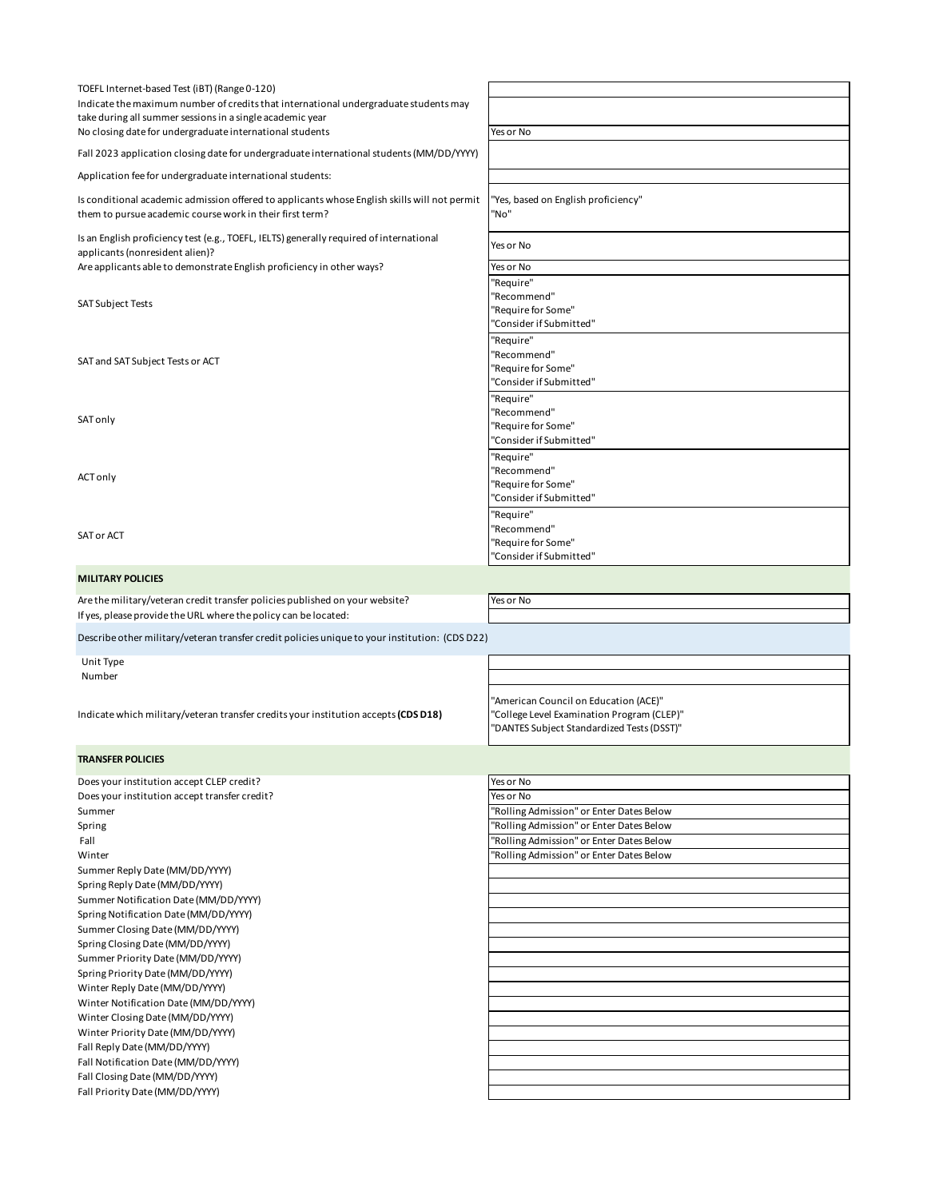| TOEFL Internet-based Test (iBT) (Range 0-120)                                                                      |                                            |  |
|--------------------------------------------------------------------------------------------------------------------|--------------------------------------------|--|
| Indicate the maximum number of credits that international undergraduate students may                               |                                            |  |
| take during all summer sessions in a single academic year                                                          |                                            |  |
| No closing date for undergraduate international students                                                           | Yes or No                                  |  |
|                                                                                                                    |                                            |  |
| Fall 2023 application closing date for undergraduate international students (MM/DD/YYYY)                           |                                            |  |
| Application fee for undergraduate international students:                                                          |                                            |  |
|                                                                                                                    |                                            |  |
| Is conditional academic admission offered to applicants whose English skills will not permit                       | 'Yes, based on English proficiency"        |  |
| them to pursue academic course work in their first term?                                                           | "No"                                       |  |
| Is an English proficiency test (e.g., TOEFL, IELTS) generally required of international                            |                                            |  |
| applicants (nonresident alien)?                                                                                    | Yes or No                                  |  |
| Are applicants able to demonstrate English proficiency in other ways?                                              | Yes or No                                  |  |
|                                                                                                                    | 'Require"                                  |  |
|                                                                                                                    | "Recommend"                                |  |
| SAT Subject Tests                                                                                                  | 'Require for Some"                         |  |
|                                                                                                                    | "Consider if Submitted"                    |  |
|                                                                                                                    |                                            |  |
|                                                                                                                    | "Require"                                  |  |
| SAT and SAT Subject Tests or ACT                                                                                   | 'Recommend"                                |  |
|                                                                                                                    | "Require for Some"                         |  |
|                                                                                                                    | 'Consider if Submitted"                    |  |
|                                                                                                                    | "Require"                                  |  |
| SAT only                                                                                                           | "Recommend"                                |  |
|                                                                                                                    | "Require for Some"                         |  |
|                                                                                                                    | "Consider if Submitted"                    |  |
|                                                                                                                    | "Require"                                  |  |
| <b>ACT only</b>                                                                                                    | "Recommend"                                |  |
|                                                                                                                    | "Require for Some"                         |  |
|                                                                                                                    | 'Consider if Submitted"                    |  |
|                                                                                                                    | "Require"                                  |  |
|                                                                                                                    | 'Recommend"                                |  |
| SAT or ACT                                                                                                         | 'Require for Some"                         |  |
|                                                                                                                    | 'Consider if Submitted"                    |  |
| <b>MILITARY POLICIES</b>                                                                                           |                                            |  |
|                                                                                                                    |                                            |  |
| Are the military/veteran credit transfer policies published on your website?                                       | Yes or No                                  |  |
| If yes, please provide the URL where the policy can be located:                                                    |                                            |  |
|                                                                                                                    |                                            |  |
| Describe other military/veteran transfer credit policies unique to your institution: (CDSD22)                      |                                            |  |
|                                                                                                                    |                                            |  |
|                                                                                                                    |                                            |  |
| Unit Type                                                                                                          |                                            |  |
| Number                                                                                                             |                                            |  |
|                                                                                                                    | "American Council on Education (ACE)"      |  |
|                                                                                                                    | 'College Level Examination Program (CLEP)" |  |
| Indicate which military/veteran transfer credits your institution accepts (CDS D18)                                | "DANTES Subject Standardized Tests (DSST)" |  |
|                                                                                                                    |                                            |  |
| <b>TRANSFER POLICIES</b>                                                                                           |                                            |  |
|                                                                                                                    |                                            |  |
| Does your institution accept CLEP credit?                                                                          | Yes or No                                  |  |
|                                                                                                                    | Yes or No                                  |  |
|                                                                                                                    | "Rolling Admission" or Enter Dates Below   |  |
|                                                                                                                    | "Rolling Admission" or Enter Dates Below   |  |
| Fall                                                                                                               | "Rolling Admission" or Enter Dates Below   |  |
| Does your institution accept transfer credit?<br>Summer<br>Spring<br>Winter                                        | "Rolling Admission" or Enter Dates Below   |  |
| Summer Reply Date (MM/DD/YYYY)                                                                                     |                                            |  |
| Spring Reply Date (MM/DD/YYYY)                                                                                     |                                            |  |
|                                                                                                                    |                                            |  |
|                                                                                                                    |                                            |  |
| Summer Notification Date (MM/DD/YYYY)<br>Spring Notification Date (MM/DD/YYYY)<br>Summer Closing Date (MM/DD/YYYY) |                                            |  |
| Spring Closing Date (MM/DD/YYYY)                                                                                   |                                            |  |
| Summer Priority Date (MM/DD/YYYY)                                                                                  |                                            |  |
|                                                                                                                    |                                            |  |
| Spring Priority Date (MM/DD/YYYY)                                                                                  |                                            |  |
| Winter Reply Date (MM/DD/YYYY)                                                                                     |                                            |  |
| Winter Notification Date (MM/DD/YYYY)                                                                              |                                            |  |
| Winter Closing Date (MM/DD/YYYY)                                                                                   |                                            |  |
| Winter Priority Date (MM/DD/YYYY)                                                                                  |                                            |  |
| Fall Reply Date (MM/DD/YYYY)                                                                                       |                                            |  |
| Fall Notification Date (MM/DD/YYYY)                                                                                |                                            |  |
| Fall Closing Date (MM/DD/YYYY)                                                                                     |                                            |  |
| Fall Priority Date (MM/DD/YYYY)                                                                                    |                                            |  |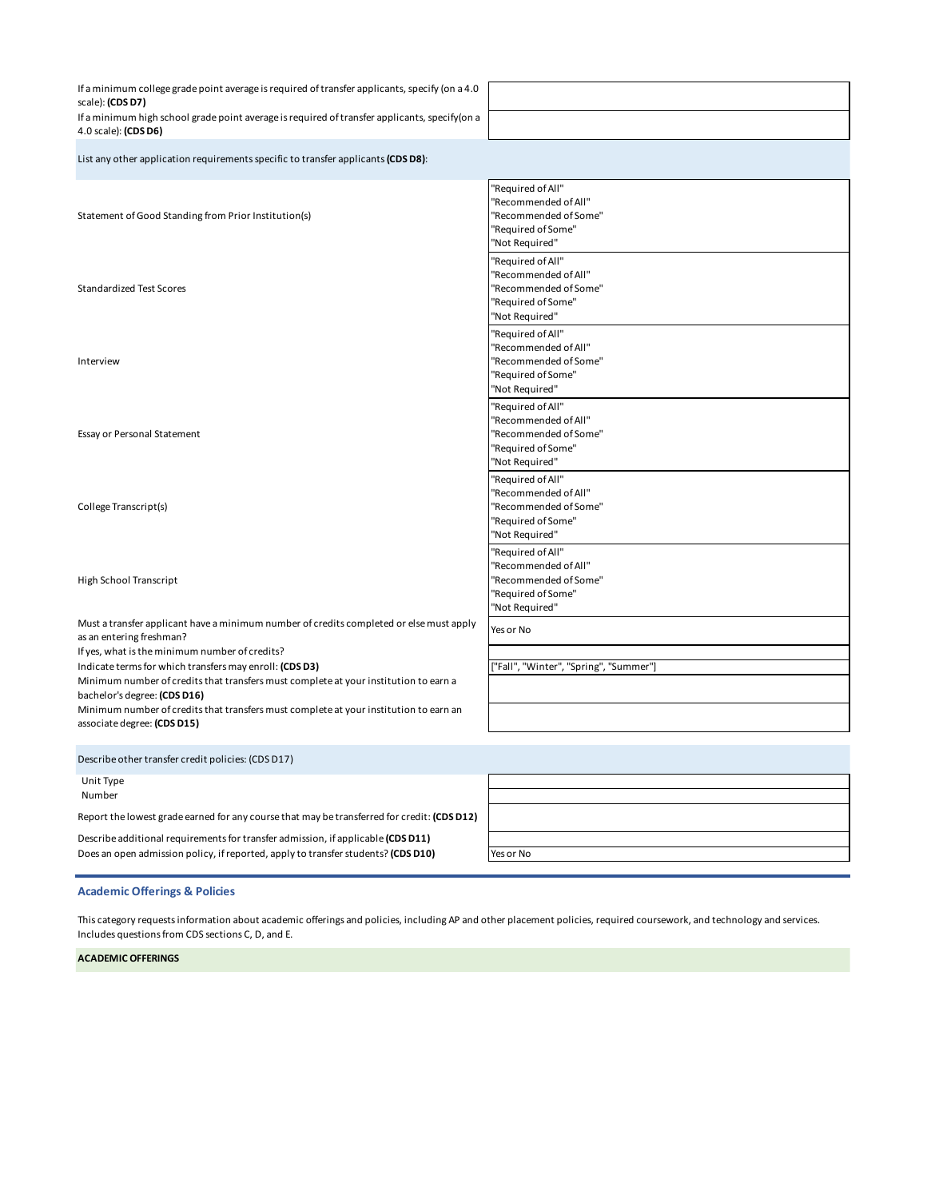If a minimum college grade point average is required of transfer applicants, specify (on a 4.0 scale): **(CDS D7)** If a minimum high school grade point average is required of transfer applicants, specify(on a 4.0 scale): **(CDS D6)**

List any other application requirements specific to transfer applicants **(CDS D8)**:

Statement of Good Standing from Prior Institution(s) "Required of All" "Recommended of All" "Recommended of Some" "Required of Some" "Not Required" Standardized Test Scores "Required of All" "Recommended of All" "Recommended of Some" "Required of Some" "Not Required" Interview "Required of All" "Recommended of All" "Recommended of Some" "Required of Some" "Not Required" Essay or Personal Statement "Required of All" "Recommended of All" "Recommended of Some" "Required of Some" "Not Required" College Transcript(s) "Required of All" "Recommended of All" "Recommended of Some" "Required of Some" "Not Required" High School Transcript "Required of All" "Recommended of All" "Recommended of Some" "Required of Some" "Not Required" Must a transfer applicant have a minimum number of credits completed or else must apply as an entering freshman? Yes or No If yes, what is the minimum number of credits? Indicate terms for which transfers may enroll: **(CDS D3)** ["Fall", "Winter", "Spring", "Summer"] Minimum number of credits that transfers must complete at your institution to earn a bachelor's degree: **(CDS D16)** Minimum number of credits that transfers must complete at your institution to earn an associate degree: **(CDS D15)** Unit Type Number Describe other transfer credit policies: (CDS D17)

Report the lowest grade earned for any course that may be transferred for credit: **(CDS D12)**

Describe additional requirements for transfer admission, if applicable **(CDS D11)** Does an open admission policy, if reported, apply to transfer students? (CDS D10) **Yes or No** 

#### **Academic Offerings & Policies**

This category requests information about academic offerings and policies, including AP and other placement policies, required coursework, and technology and services. Includes questions from CDS sections C, D, and E.

**ACADEMIC OFFERINGS**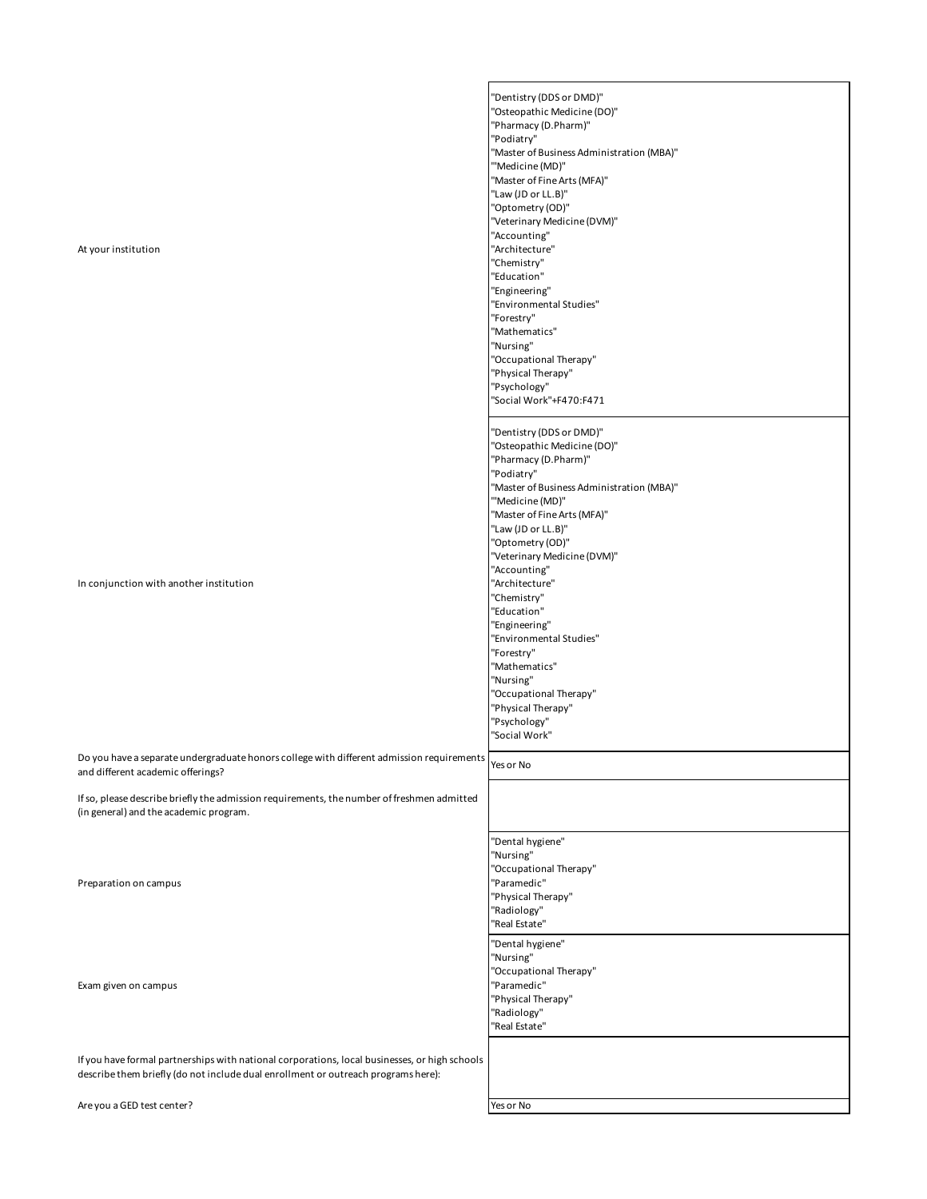| At your institution                                                                                                                                                                | "Dentistry (DDS or DMD)"<br>"Osteopathic Medicine (DO)"<br>"Pharmacy (D.Pharm)"<br>"Podiatry"<br>"Master of Business Administration (MBA)"<br>"'Medicine (MD)"<br>"Master of Fine Arts (MFA)"<br>"Law (JD or LL.B)"<br>"Optometry (OD)"<br>"Veterinary Medicine (DVM)"<br>"Accounting"<br>"Architecture"<br>"Chemistry"<br>"Education"<br>"Engineering"<br>"Environmental Studies"<br>"Forestry"<br>"Mathematics"<br>"Nursing"<br>"Occupational Therapy"<br>"Physical Therapy"<br>"Psychology"<br>"Social Work"+F470:F471 |
|------------------------------------------------------------------------------------------------------------------------------------------------------------------------------------|---------------------------------------------------------------------------------------------------------------------------------------------------------------------------------------------------------------------------------------------------------------------------------------------------------------------------------------------------------------------------------------------------------------------------------------------------------------------------------------------------------------------------|
| In conjunction with another institution                                                                                                                                            | "Dentistry (DDS or DMD)"<br>"Osteopathic Medicine (DO)"<br>"Pharmacy (D.Pharm)"<br>"Podiatry"<br>"Master of Business Administration (MBA)"<br>"'Medicine (MD)"<br>"Master of Fine Arts (MFA)"<br>"Law (JD or LL.B)"<br>"Optometry (OD)"<br>"Veterinary Medicine (DVM)"<br>"Accounting"<br>"Architecture"<br>"Chemistry"<br>"Education"<br>"Engineering"<br>"Environmental Studies"<br>"Forestry"<br>"Mathematics"<br>"Nursing"<br>"Occupational Therapy"<br>"Physical Therapy"<br>"Psychology"<br>"Social Work"           |
| Do you have a separate undergraduate honors college with different admission requirements<br>and different academic offerings?                                                     | Yes or No                                                                                                                                                                                                                                                                                                                                                                                                                                                                                                                 |
| If so, please describe briefly the admission requirements, the number of freshmen admitted<br>(in general) and the academic program.                                               |                                                                                                                                                                                                                                                                                                                                                                                                                                                                                                                           |
| Preparation on campus                                                                                                                                                              | "Dental hygiene"<br>"Nursing"<br>"Occupational Therapy"<br>"Paramedic"<br>"Physical Therapy"<br>"Radiology"<br>"Real Estate"<br>"Dental hygiene"                                                                                                                                                                                                                                                                                                                                                                          |
| Exam given on campus                                                                                                                                                               | "Nursing"<br>"Occupational Therapy"<br>"Paramedic"<br>"Physical Therapy"<br>"Radiology"<br>"Real Estate"                                                                                                                                                                                                                                                                                                                                                                                                                  |
| If you have formal partnerships with national corporations, local businesses, or high schools<br>describe them briefly (do not include dual enrollment or outreach programs here): |                                                                                                                                                                                                                                                                                                                                                                                                                                                                                                                           |
| Are you a GED test center?                                                                                                                                                         | Yes or No                                                                                                                                                                                                                                                                                                                                                                                                                                                                                                                 |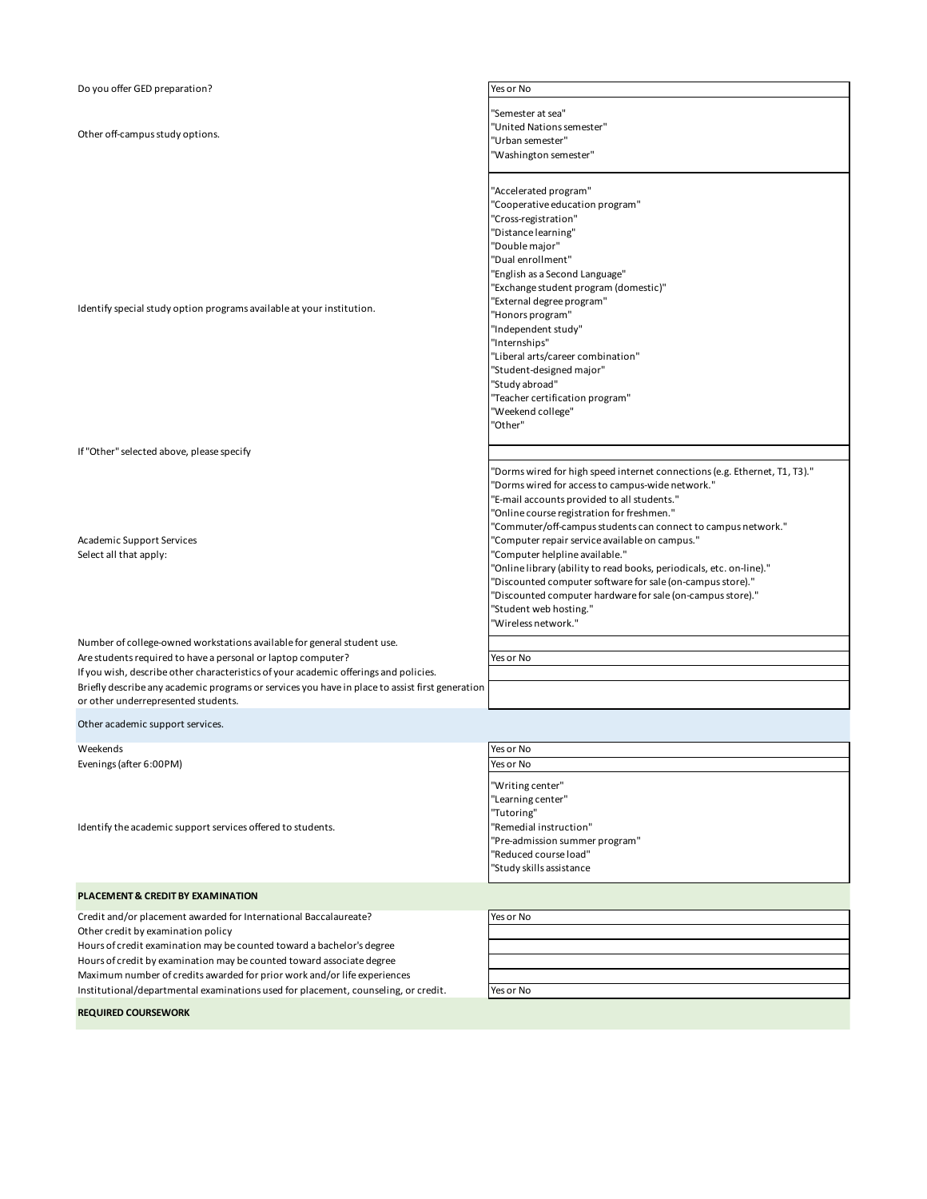| Do you offer GED preparation?                                                                   | Yes or No                                                                  |
|-------------------------------------------------------------------------------------------------|----------------------------------------------------------------------------|
|                                                                                                 |                                                                            |
|                                                                                                 | 'Semester at sea"                                                          |
|                                                                                                 | 'United Nations semester"                                                  |
| Other off-campus study options.                                                                 | 'Urban semester"                                                           |
|                                                                                                 | 'Washington semester"                                                      |
|                                                                                                 |                                                                            |
|                                                                                                 | "Accelerated program"                                                      |
|                                                                                                 | 'Cooperative education program"                                            |
|                                                                                                 | 'Cross-registration"                                                       |
|                                                                                                 | 'Distance learning"                                                        |
|                                                                                                 | 'Double major"                                                             |
|                                                                                                 | 'Dual enrollment"                                                          |
|                                                                                                 | 'English as a Second Language"                                             |
|                                                                                                 | 'Exchange student program (domestic)"                                      |
|                                                                                                 | 'External degree program"                                                  |
| Identify special study option programs available at your institution.                           | "Honors program"                                                           |
|                                                                                                 | "Independent study"                                                        |
|                                                                                                 | "Internships"                                                              |
|                                                                                                 | "Liberal arts/career combination"                                          |
|                                                                                                 | "Student-designed major"                                                   |
|                                                                                                 | "Study abroad"                                                             |
|                                                                                                 | "Teacher certification program"                                            |
|                                                                                                 | 'Weekend college"                                                          |
|                                                                                                 | 'Other"                                                                    |
|                                                                                                 |                                                                            |
| If "Other" selected above, please specify                                                       |                                                                            |
|                                                                                                 | 'Dorms wired for high speed internet connections (e.g. Ethernet, T1, T3)." |
|                                                                                                 | 'Dorms wired for access to campus-wide network."                           |
|                                                                                                 | "E-mail accounts provided to all students."                                |
|                                                                                                 | 'Online course registration for freshmen."                                 |
|                                                                                                 | "Commuter/off-campus students can connect to campus network."              |
| <b>Academic Support Services</b>                                                                | 'Computer repair service available on campus."                             |
| Select all that apply:                                                                          | 'Computer helpline available."                                             |
|                                                                                                 | 'Online library (ability to read books, periodicals, etc. on-line)."       |
|                                                                                                 | 'Discounted computer software for sale (on-campus store)."                 |
|                                                                                                 | 'Discounted computer hardware for sale (on-campus store)."                 |
|                                                                                                 | 'Student web hosting."                                                     |
|                                                                                                 | 'Wireless network."                                                        |
| Number of college-owned workstations available for general student use.                         |                                                                            |
| Are students required to have a personal or laptop computer?                                    | Yes or No                                                                  |
| If you wish, describe other characteristics of your academic offerings and policies.            |                                                                            |
| Briefly describe any academic programs or services you have in place to assist first generation |                                                                            |
| or other underrepresented students.                                                             |                                                                            |
|                                                                                                 |                                                                            |
| Other academic support services.                                                                |                                                                            |
| Weekends                                                                                        | Yes or No                                                                  |
| Evenings (after 6:00PM)                                                                         | Yes or No                                                                  |
|                                                                                                 |                                                                            |
|                                                                                                 | 'Writing center"                                                           |
|                                                                                                 | "Learning center"                                                          |
|                                                                                                 | 'Tutoring"                                                                 |
| Identify the academic support services offered to students.                                     | 'Remedial instruction"                                                     |
|                                                                                                 | 'Pre-admission summer program"                                             |
|                                                                                                 | 'Reduced course load"                                                      |
|                                                                                                 | 'Study skills assistance                                                   |
| PLACEMENT & CREDIT BY EXAMINATION                                                               |                                                                            |
| Credit and/or placement awarded for International Baccalaureate?                                | Yes or No                                                                  |
| Other credit by examination policy                                                              |                                                                            |
| Hours of credit examination may be counted toward a bachelor's degree                           |                                                                            |
| Hours of credit by examination may be counted toward associate degree                           |                                                                            |
| Maximum number of credits awarded for prior work and/or life experiences                        |                                                                            |
| Institutional/departmental examinations used for placement, counseling, or credit.              | Yes or No                                                                  |
|                                                                                                 |                                                                            |

**REQUIRED COURSEWORK**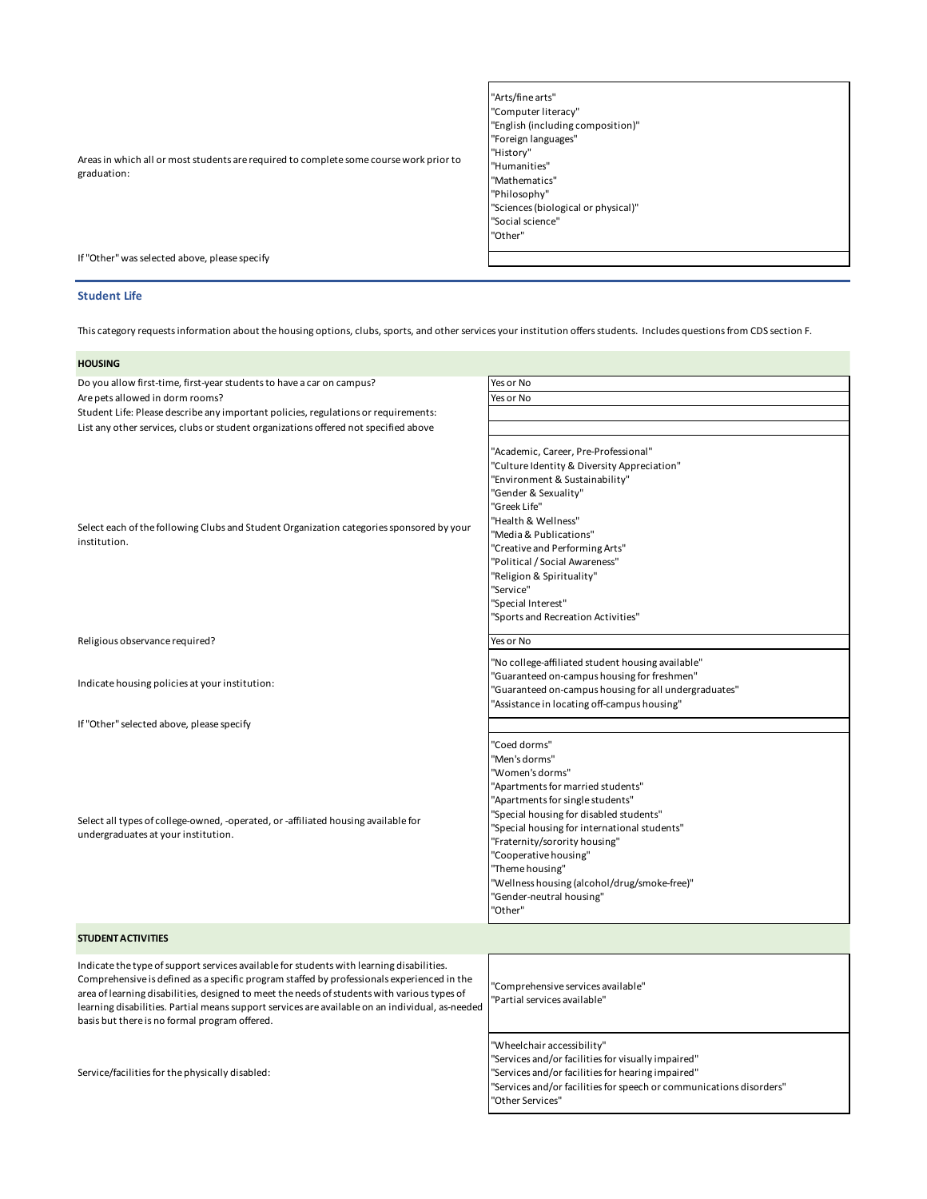"Arts/fine arts" "Computer literacy" "English (including composition)" "Foreign languages" "History" "Humanities" "Mathematics" "Philosophy" "Sciences (biological or physical)" "Social science" "Other"

If "Other" was selected above, please specify

Areas in which all or most students are required to complete some course work prior to

#### **Student Life**

graduation:

This category requests information about the housing options, clubs, sports, and other services your institution offers students. Includes questions from CDS section F.

| <b>HOUSING</b>                                                                                                                                                                                                                                                                                                                                                                                                                            |                                                                                                                                                                                                                                                                                                                                                                                          |
|-------------------------------------------------------------------------------------------------------------------------------------------------------------------------------------------------------------------------------------------------------------------------------------------------------------------------------------------------------------------------------------------------------------------------------------------|------------------------------------------------------------------------------------------------------------------------------------------------------------------------------------------------------------------------------------------------------------------------------------------------------------------------------------------------------------------------------------------|
| Do you allow first-time, first-year students to have a car on campus?                                                                                                                                                                                                                                                                                                                                                                     | Yes or No                                                                                                                                                                                                                                                                                                                                                                                |
| Are pets allowed in dorm rooms?                                                                                                                                                                                                                                                                                                                                                                                                           | Yes or No                                                                                                                                                                                                                                                                                                                                                                                |
| Student Life: Please describe any important policies, regulations or requirements:                                                                                                                                                                                                                                                                                                                                                        |                                                                                                                                                                                                                                                                                                                                                                                          |
| List any other services, clubs or student organizations offered not specified above                                                                                                                                                                                                                                                                                                                                                       |                                                                                                                                                                                                                                                                                                                                                                                          |
| Select each of the following Clubs and Student Organization categories sponsored by your<br>institution.                                                                                                                                                                                                                                                                                                                                  | "Academic, Career, Pre-Professional"<br>"Culture Identity & Diversity Appreciation"<br>"Environment & Sustainability"<br>"Gender & Sexuality"<br>"Greek Life"<br>"Health & Wellness"<br>"Media & Publications"<br>"Creative and Performing Arts"<br>"Political / Social Awareness"<br>'Religion & Spirituality"<br>"Service"<br>"Special Interest"                                       |
|                                                                                                                                                                                                                                                                                                                                                                                                                                           | "Sports and Recreation Activities"                                                                                                                                                                                                                                                                                                                                                       |
| Religious observance required?                                                                                                                                                                                                                                                                                                                                                                                                            | Yes or No                                                                                                                                                                                                                                                                                                                                                                                |
| Indicate housing policies at your institution:                                                                                                                                                                                                                                                                                                                                                                                            | "No college-affiliated student housing available"<br>"Guaranteed on-campus housing for freshmen"<br>"Guaranteed on-campus housing for all undergraduates"<br>"Assistance in locating off-campus housing"                                                                                                                                                                                 |
| If "Other" selected above, please specify                                                                                                                                                                                                                                                                                                                                                                                                 |                                                                                                                                                                                                                                                                                                                                                                                          |
| Select all types of college-owned, -operated, or -affiliated housing available for<br>undergraduates at your institution.                                                                                                                                                                                                                                                                                                                 | "Coed dorms"<br>"Men's dorms"<br>"Women's dorms"<br>"Apartments for married students"<br>"Apartments for single students"<br>"Special housing for disabled students"<br>"Special housing for international students"<br>"Fraternity/sorority housing"<br>"Cooperative housing"<br>"Theme housing"<br>"Wellness housing (alcohol/drug/smoke-free)"<br>"Gender-neutral housing"<br>"Other" |
| <b>STUDENT ACTIVITIES</b>                                                                                                                                                                                                                                                                                                                                                                                                                 |                                                                                                                                                                                                                                                                                                                                                                                          |
| Indicate the type of support services available for students with learning disabilities.<br>Comprehensive is defined as a specific program staffed by professionals experienced in the<br>area of learning disabilities, designed to meet the needs of students with various types of<br>learning disabilities. Partial means support services are available on an individual, as-needed<br>basis but there is no formal program offered. | 'Comprehensive services available"<br>'Partial services available"                                                                                                                                                                                                                                                                                                                       |
| Service/facilities for the physically disabled:                                                                                                                                                                                                                                                                                                                                                                                           | "Wheelchair accessibility"<br>"Services and/or facilities for visually impaired"<br>"Services and/or facilities for hearing impaired"                                                                                                                                                                                                                                                    |

"Services and/or facilities for speech or communications disorders" "Other Services"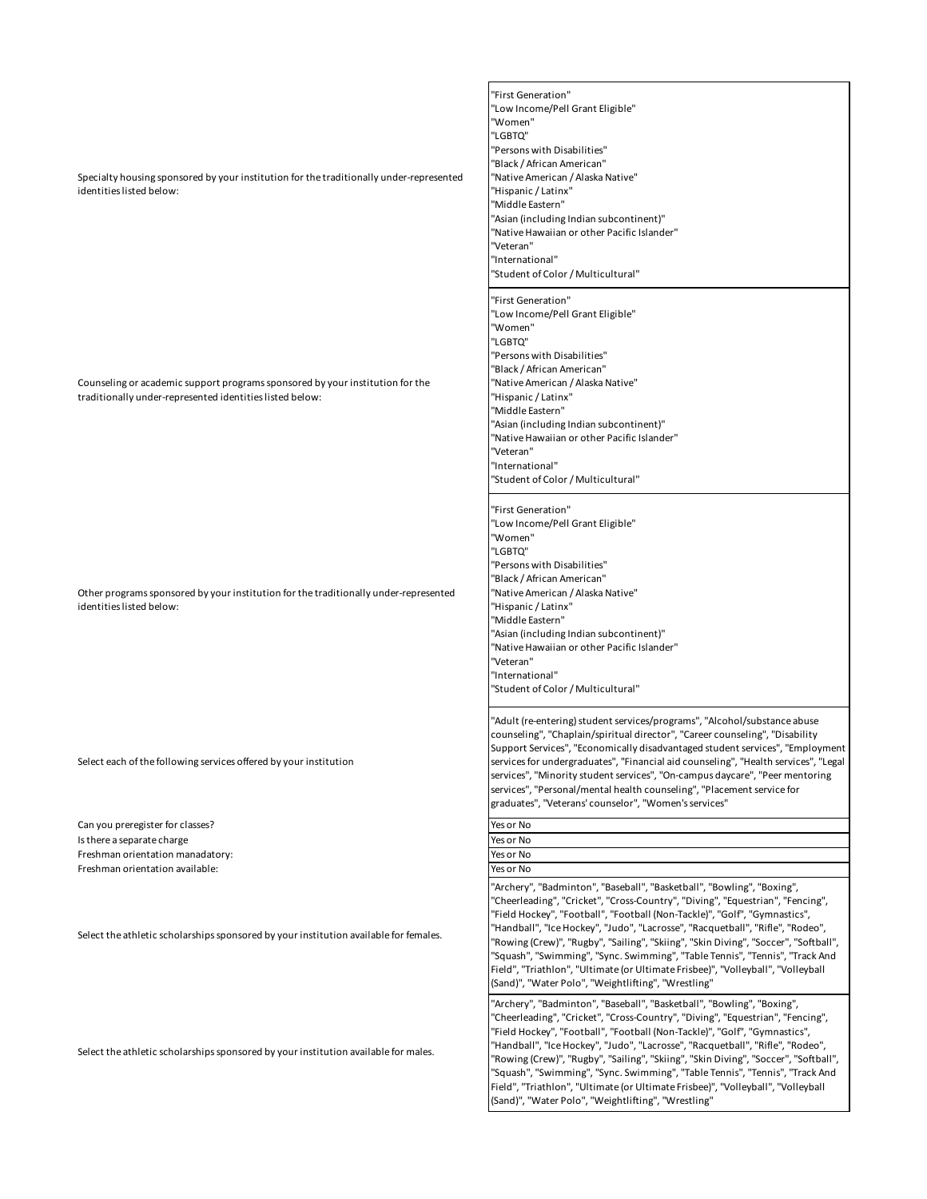Specialty housing sponsored by your institution for the traditionally under-represented identities listed below:

Counseling or academic support programs sponsored by your institution for the traditionally under-represented identities listed below:

Other programs sponsored by your institution for the traditionally under-represented identities listed below:

Select each of the following services offered by your institution

Can you preregister for classes? Yes or No Is there a separate charge  $Y$ es or No Freshman orientation manadatory:  $\blacksquare$  Yes or No Freshman orientation available:  $Y$ es or No

Select the athletic scholarships sponsored by your institution available for females.

Select the athletic scholarships sponsored by your institution available for males.

- "First Generation" "Low Income/Pell Grant Eligible" "Women" "LGBTQ" "Persons with Disabilities" "Black / African American" "Native American / Alaska Native" "Hispanic / Latinx" "Middle Eastern" "Asian (including Indian subcontinent)" "Native Hawaiian or other Pacific Islander" "Veteran" "International" "Student of Color / Multicultural"
- "First Generation" "Low Income/Pell Grant Eligible" "Women" "LGBTO" "Persons with Disabilities" "Black / African American" "Native American / Alaska Native" "Hispanic / Latinx" "Middle Eastern" "Asian (including Indian subcontinent)" "Native Hawaiian or other Pacific Islander" "Veteran" "International" "Student of Color / Multicultural"
- "First Generation" "Low Income/Pell Grant Eligible" "Women" "LGBTQ" "Persons with Disabilities" "Black / African American" "Native American / Alaska Native" "Hispanic / Latinx" "Middle Eastern" "Asian (including Indian subcontinent)" "Native Hawaiian or other Pacific Islander" "Veteran" "International" "Student of Color / Multicultural"

"Adult (re-entering) student services/programs", "Alcohol/substance abuse counseling", "Chaplain/spiritual director", "Career counseling", "Disability Support Services", "Economically disadvantaged student services", "Employment services for undergraduates", "Financial aid counseling", "Health services", "Legal services", "Minority student services", "On-campus daycare", "Peer mentoring services", "Personal/mental health counseling", "Placement service for graduates", "Veterans' counselor", "Women's services"

"Archery", "Badminton", "Baseball", "Basketball", "Bowling", "Boxing", "Cheerleading", "Cricket", "Cross-Country", "Diving", "Equestrian", "Fencing", "Field Hockey", "Football", "Football (Non-Tackle)", "Golf", "Gymnastics", "Handball", "Ice Hockey", "Judo", "Lacrosse", "Racquetball", "Rifle", "Rodeo", "Rowing (Crew)", "Rugby", "Sailing", "Skiing", "Skin Diving", "Soccer", "Softball", "Squash", "Swimming", "Sync. Swimming", "Table Tennis", "Tennis", "Track And Field", "Triathlon", "Ultimate (or Ultimate Frisbee)", "Volleyball", "Volleyball (Sand)", "Water Polo", "Weightlifting", "Wrestling"

"Archery", "Badminton", "Baseball", "Basketball", "Bowling", "Boxing", "Cheerleading", "Cricket", "Cross-Country", "Diving", "Equestrian", "Fencing", "Field Hockey", "Football", "Football (Non-Tackle)", "Golf", "Gymnastics", "Handball", "Ice Hockey", "Judo", "Lacrosse", "Racquetball", "Rifle", "Rodeo", "Rowing (Crew)", "Rugby", "Sailing", "Skiing", "Skin Diving", "Soccer", "Softball", "Squash", "Swimming", "Sync. Swimming", "Table Tennis", "Tennis", "Track And Field", "Triathlon", "Ultimate (or Ultimate Frisbee)", "Volleyball", "Volleyball (Sand)", "Water Polo", "Weightlifting", "Wrestling"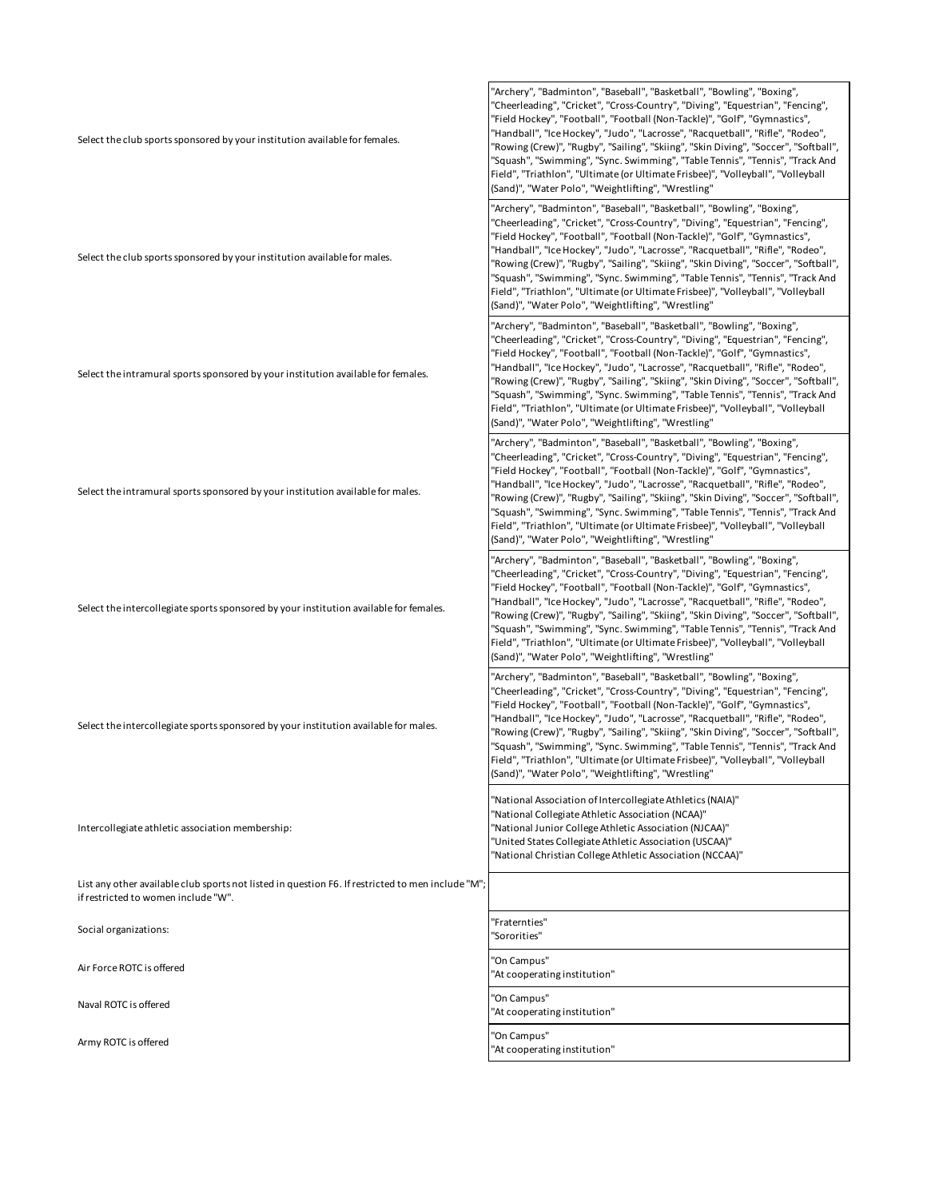| Select the club sports sponsored by your institution available for females.                                                              | "Archery", "Badminton", "Baseball", "Basketball", "Bowling", "Boxing",<br>"Cheerleading", "Cricket", "Cross-Country", "Diving", "Equestrian", "Fencing",<br>"Field Hockey", "Football", "Football (Non-Tackle)", "Golf", "Gymnastics",<br>"Handball", "Ice Hockey", "Judo", "Lacrosse", "Racquetball", "Rifle", "Rodeo",<br>"Rowing (Crew)", "Rugby", "Sailing", "Skiing", "Skin Diving", "Soccer", "Softball",<br>"Squash", "Swimming", "Sync. Swimming", "Table Tennis", "Tennis", "Track And<br>Field", "Triathlon", "Ultimate (or Ultimate Frisbee)", "Volleyball", "Volleyball<br>(Sand)", "Water Polo", "Weightlifting", "Wrestling" |
|------------------------------------------------------------------------------------------------------------------------------------------|--------------------------------------------------------------------------------------------------------------------------------------------------------------------------------------------------------------------------------------------------------------------------------------------------------------------------------------------------------------------------------------------------------------------------------------------------------------------------------------------------------------------------------------------------------------------------------------------------------------------------------------------|
| Select the club sports sponsored by your institution available for males.                                                                | "Archery", "Badminton", "Baseball", "Basketball", "Bowling", "Boxing",<br>'Cheerleading", "Cricket", "Cross-Country", "Diving", "Equestrian", "Fencing",<br>"Field Hockey", "Football", "Football (Non-Tackle)", "Golf", "Gymnastics",<br>"Handball", "Ice Hockey", "Judo", "Lacrosse", "Racquetball", "Rifle", "Rodeo",<br>"Rowing (Crew)", "Rugby", "Sailing", "Skiing", "Skin Diving", "Soccer", "Softball",<br>"Squash", "Swimming", "Sync. Swimming", "Table Tennis", "Tennis", "Track And<br>Field", "Triathlon", "Ultimate (or Ultimate Frisbee)", "Volleyball", "Volleyball<br>(Sand)", "Water Polo", "Weightlifting", "Wrestling" |
| Select the intramural sports sponsored by your institution available for females.                                                        | "Archery", "Badminton", "Baseball", "Basketball", "Bowling", "Boxing",<br>'Cheerleading", "Cricket", "Cross-Country", "Diving", "Equestrian", "Fencing",<br>"Field Hockey", "Football", "Football (Non-Tackle)", "Golf", "Gymnastics",<br>'Handball", "Ice Hockey", "Judo", "Lacrosse", "Racquetball", "Rifle", "Rodeo",<br>"Rowing (Crew)", "Rugby", "Sailing", "Skiing", "Skin Diving", "Soccer", "Softball",<br>"Squash", "Swimming", "Sync. Swimming", "Table Tennis", "Tennis", "Track And<br>Field", "Triathlon", "Ultimate (or Ultimate Frisbee)", "Volleyball", "Volleyball<br>(Sand)", "Water Polo", "Weightlifting", "Wrestling" |
| Select the intramural sports sponsored by your institution available for males.                                                          | "Archery", "Badminton", "Baseball", "Basketball", "Bowling", "Boxing",<br>"Cheerleading", "Cricket", "Cross-Country", "Diving", "Equestrian", "Fencing",<br>"Field Hockey", "Football", "Football (Non-Tackle)", "Golf", "Gymnastics",<br>'Handball", "Ice Hockey", "Judo", "Lacrosse", "Racquetball", "Rifle", "Rodeo",<br>"Rowing (Crew)", "Rugby", "Sailing", "Skiing", "Skin Diving", "Soccer", "Softball",<br>"Squash", "Swimming", "Sync. Swimming", "Table Tennis", "Tennis", "Track And<br>Field", "Triathlon", "Ultimate (or Ultimate Frisbee)", "Volleyball", "Volleyball<br>(Sand)", "Water Polo", "Weightlifting", "Wrestling" |
| Select the intercollegiate sports sponsored by your institution available for females.                                                   | "Archery", "Badminton", "Baseball", "Basketball", "Bowling", "Boxing",<br>"Cheerleading", "Cricket", "Cross-Country", "Diving", "Equestrian", "Fencing",<br>"Field Hockey", "Football", "Football (Non-Tackle)", "Golf", "Gymnastics",<br>"Handball", "Ice Hockey", "Judo", "Lacrosse", "Racquetball", "Rifle", "Rodeo",<br>"Rowing (Crew)", "Rugby", "Sailing", "Skiing", "Skin Diving", "Soccer", "Softball",<br>"Squash", "Swimming", "Sync. Swimming", "Table Tennis", "Tennis", "Track And<br>Field", "Triathlon", "Ultimate (or Ultimate Frisbee)", "Volleyball", "Volleyball<br>(Sand)", "Water Polo", "Weightlifting", "Wrestling" |
| Select the intercollegiate sports sponsored by your institution available for males.                                                     | "Archery", "Badminton", "Baseball", "Basketball", "Bowling", "Boxing",<br>"Cheerleading", "Cricket", "Cross-Country", "Diving", "Equestrian", "Fencing",<br>"Field Hockey", "Football", "Football (Non-Tackle)", "Golf", "Gymnastics",<br>"Handball", "Ice Hockey", "Judo", "Lacrosse", "Racquetball", "Rifle", "Rodeo",<br>"Rowing (Crew)", "Rugby", "Sailing", "Skiing", "Skin Diving", "Soccer", "Softball",<br>"Squash", "Swimming", "Sync. Swimming", "Table Tennis", "Tennis", "Track And<br>Field", "Triathlon", "Ultimate (or Ultimate Frisbee)", "Volleyball", "Volleyball<br>(Sand)", "Water Polo", "Weightlifting", "Wrestling" |
| Intercollegiate athletic association membership:                                                                                         | "National Association of Intercollegiate Athletics (NAIA)"<br>"National Collegiate Athletic Association (NCAA)"<br>"National Junior College Athletic Association (NJCAA)"<br>"United States Collegiate Athletic Association (USCAA)"<br>"National Christian College Athletic Association (NCCAA)"                                                                                                                                                                                                                                                                                                                                          |
| List any other available club sports not listed in question F6. If restricted to men include "M";<br>if restricted to women include "W". |                                                                                                                                                                                                                                                                                                                                                                                                                                                                                                                                                                                                                                            |
| Social organizations:                                                                                                                    | "Fraternties"<br>'Sororities"                                                                                                                                                                                                                                                                                                                                                                                                                                                                                                                                                                                                              |
| Air Force ROTC is offered                                                                                                                | 'On Campus"<br>"At cooperating institution"                                                                                                                                                                                                                                                                                                                                                                                                                                                                                                                                                                                                |
| Naval ROTC is offered                                                                                                                    | 'On Campus"<br>"At cooperating institution"                                                                                                                                                                                                                                                                                                                                                                                                                                                                                                                                                                                                |
| Army ROTC is offered                                                                                                                     | 'On Campus"<br>'At cooperating institution"                                                                                                                                                                                                                                                                                                                                                                                                                                                                                                                                                                                                |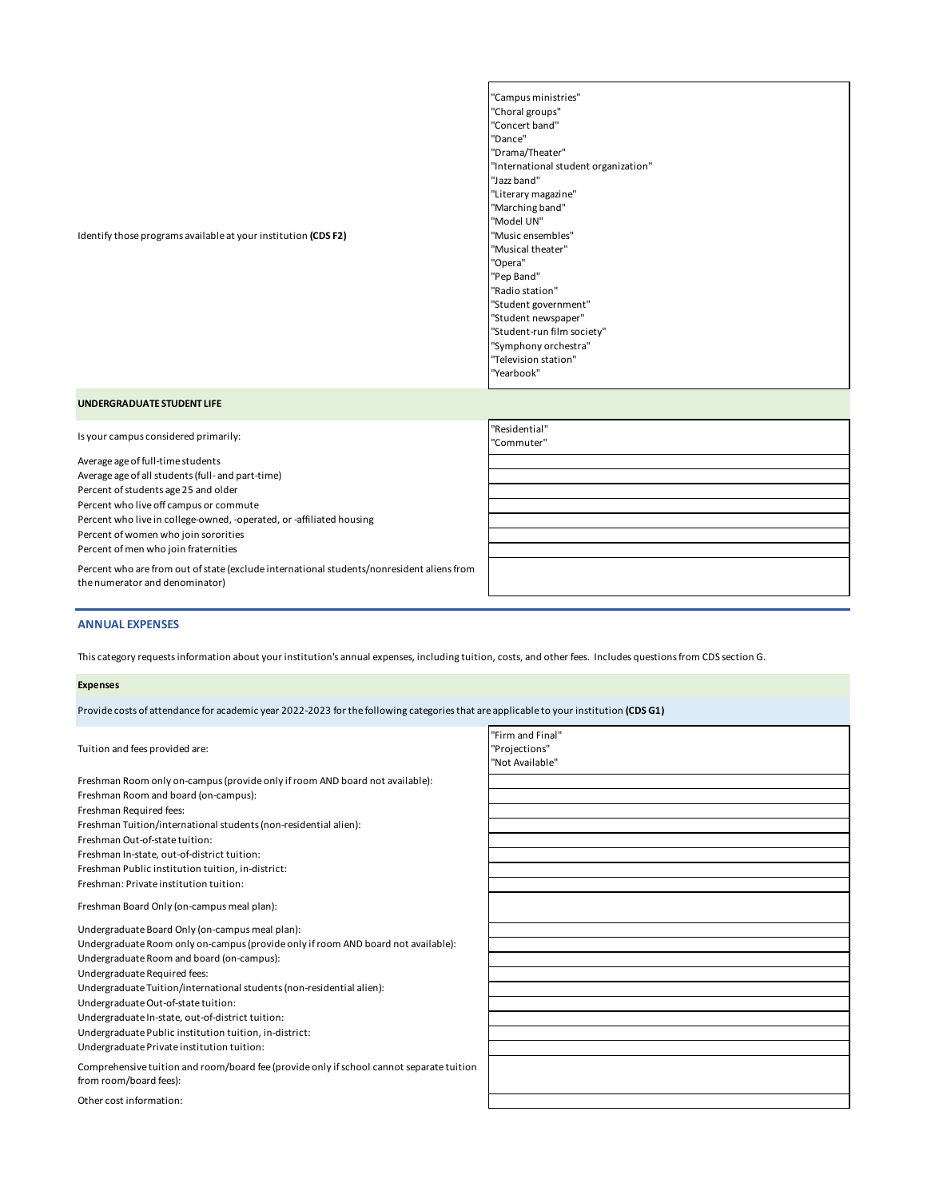#### Identify those programs available at your institution **(CDS F2)**

"Campus ministries" "Choral groups" "Concert band" "Dance" "Drama/Theater" "International student organization" "Jazz band" "Literary magazine" "Marching band" "Model UN" "Music ensembles" "Musical theater" "Opera" "Pep Band" "Radio station" "Student government" "Student newspaper" "Student-run film society" "Symphony orchestra" "Television station" "Yearbook"

#### **UNDERGRADUATE STUDENT LIFE**

Is your campus considered primarily:

Average age of full-time students Average age of all students (full- and part-time) Percent of students age 25 and older Percent who live off campus or commute Percent who live in college-owned, -operated, or -affiliated housing Percent of women who join sororities Percent of men who join fraternities Percent who are from out of state (exclude international students/nonresident aliens from

| "Residential"                                                                                                                                                                                                                 |  |  |
|-------------------------------------------------------------------------------------------------------------------------------------------------------------------------------------------------------------------------------|--|--|
| "Commuter"                                                                                                                                                                                                                    |  |  |
| <u> 1989 - Johann Stein, marwolaethau a bhann an t-Amhair an t-Amhair an t-Amhair an t-Amhair an t-Amhair an t-A</u>                                                                                                          |  |  |
|                                                                                                                                                                                                                               |  |  |
|                                                                                                                                                                                                                               |  |  |
| the control of the control of the control of the control of the control of the control of the control of the control of the control of the control of the control of the control of the control of the control of the control |  |  |
|                                                                                                                                                                                                                               |  |  |
|                                                                                                                                                                                                                               |  |  |
| the control of the control of the control of the control of the control of the control of the control of the control of the control of the control of the control of the control of the control of the control of the control |  |  |
|                                                                                                                                                                                                                               |  |  |
|                                                                                                                                                                                                                               |  |  |

# **ANNUAL EXPENSES**

the numerator and denominator)

This category requests information about your institution's annual expenses, including tuition, costs, and other fees. Includes questions from CDS section G.

#### **Expenses**

Provide costs of attendance for academic year 2022-2023 for the following categories that are applicable to your institution **(CDS G1)**

|                                                                                                                    | "Firm and Final" |
|--------------------------------------------------------------------------------------------------------------------|------------------|
| Tuition and fees provided are:                                                                                     | "Projections"    |
|                                                                                                                    | "Not Available"  |
| Freshman Room only on-campus (provide only if room AND board not available):                                       |                  |
| Freshman Room and board (on-campus):                                                                               |                  |
| Freshman Required fees:                                                                                            |                  |
| Freshman Tuition/international students (non-residential alien):                                                   |                  |
| Freshman Out-of-state tuition:                                                                                     |                  |
| Freshman In-state, out-of-district tuition:                                                                        |                  |
| Freshman Public institution tuition, in-district:                                                                  |                  |
| Freshman: Private institution tuition:                                                                             |                  |
| Freshman Board Only (on-campus meal plan):                                                                         |                  |
| Undergraduate Board Only (on-campus meal plan):                                                                    |                  |
| Undergraduate Room only on-campus (provide only if room AND board not available):                                  |                  |
| Undergraduate Room and board (on-campus):                                                                          |                  |
| Undergraduate Required fees:                                                                                       |                  |
| Undergraduate Tuition/international students (non-residential alien):                                              |                  |
| Undergraduate Out-of-state tuition:                                                                                |                  |
| Undergraduate In-state, out-of-district tuition:                                                                   |                  |
| Undergraduate Public institution tuition, in-district:                                                             |                  |
| Undergraduate Private institution tuition:                                                                         |                  |
| Comprehensive tuition and room/board fee (provide only if school cannot separate tuition<br>from room/board fees): |                  |
| Other cost information:                                                                                            |                  |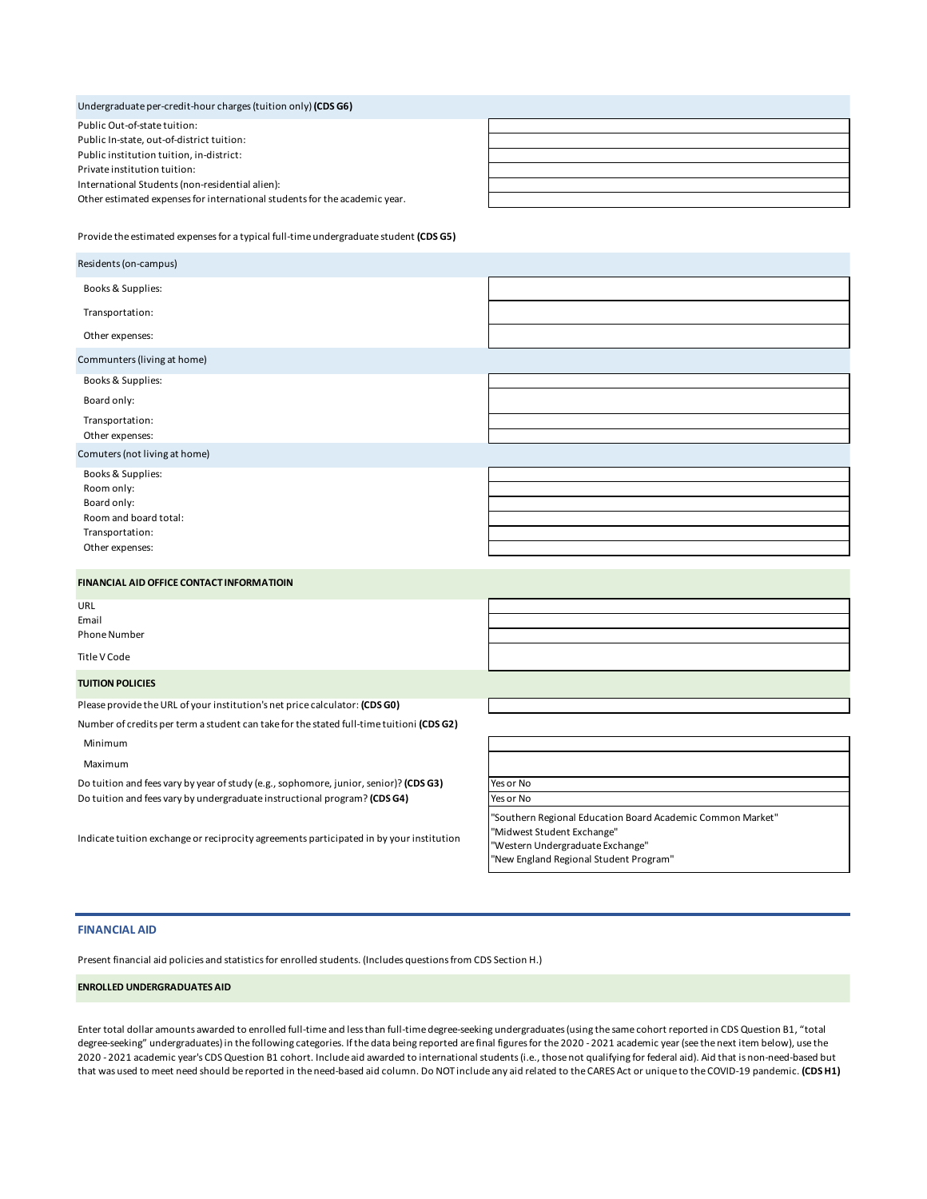## Undergraduate per-credit-hour charges (tuition only) **(CDS G6)**

Public Out-of-state tuition: Public In-state, out-of-district tuition: Public institution tuition, in-district: Private institution tuition: International Students (non-residential alien): Other estimated expenses for international students for the academic year.

Provide the estimated expenses for a typical full-time undergraduate student **(CDS G5)**

#### **FINANCIAL AID OFFICE CONTACT INFORMATIOIN**

URL Email Phone Number

Title V Code

#### **TUITION POLICIES**

Please provide the URL of your institution's net price calculator: **(CDS G0)**

Number of credits per term a student can take for the stated full-time tuitioni **(CDS G2)**

Minimum

Maximum

Do tuition and fees vary by year of study (e.g., sophomore, junior, senior)? (CDS G3) Do tuition and fees vary by undergraduate instructional program? (CDS G4)

Indicate tuition exchange or reciprocity agreements participated in by your institution

| Yes or No                                                                                |
|------------------------------------------------------------------------------------------|
| Yes or No                                                                                |
| "Southern Regional Education Board Academic Common Market"<br>"Midwest Student Exchange" |
|                                                                                          |

"Western Undergraduate Exchange" "New England Regional Student Program"

#### **FINANCIAL AID**

Present financial aid policies and statistics for enrolled students. (Includes questions from CDS Section H.)

#### **ENROLLED UNDERGRADUATES AID**

Enter total dollar amounts awarded to enrolled full-time and less than full-time degree-seeking undergraduates (using the same cohort reported in CDS Question B1, "total degree-seeking" undergraduates) in the following categories. If the data being reported are final figures for the 2020 - 2021 academic year (see the next item below), use the 2020 - 2021 academic year's CDS Question B1 cohort. Include aid awarded to international students (i.e., those not qualifying for federal aid). Aid that is non-need-based but that was used to meet need should be reported in the need-based aid column. Do NOT include any aid related to the CARES Act or unique to the COVID-19 pandemic. **(CDS H1)**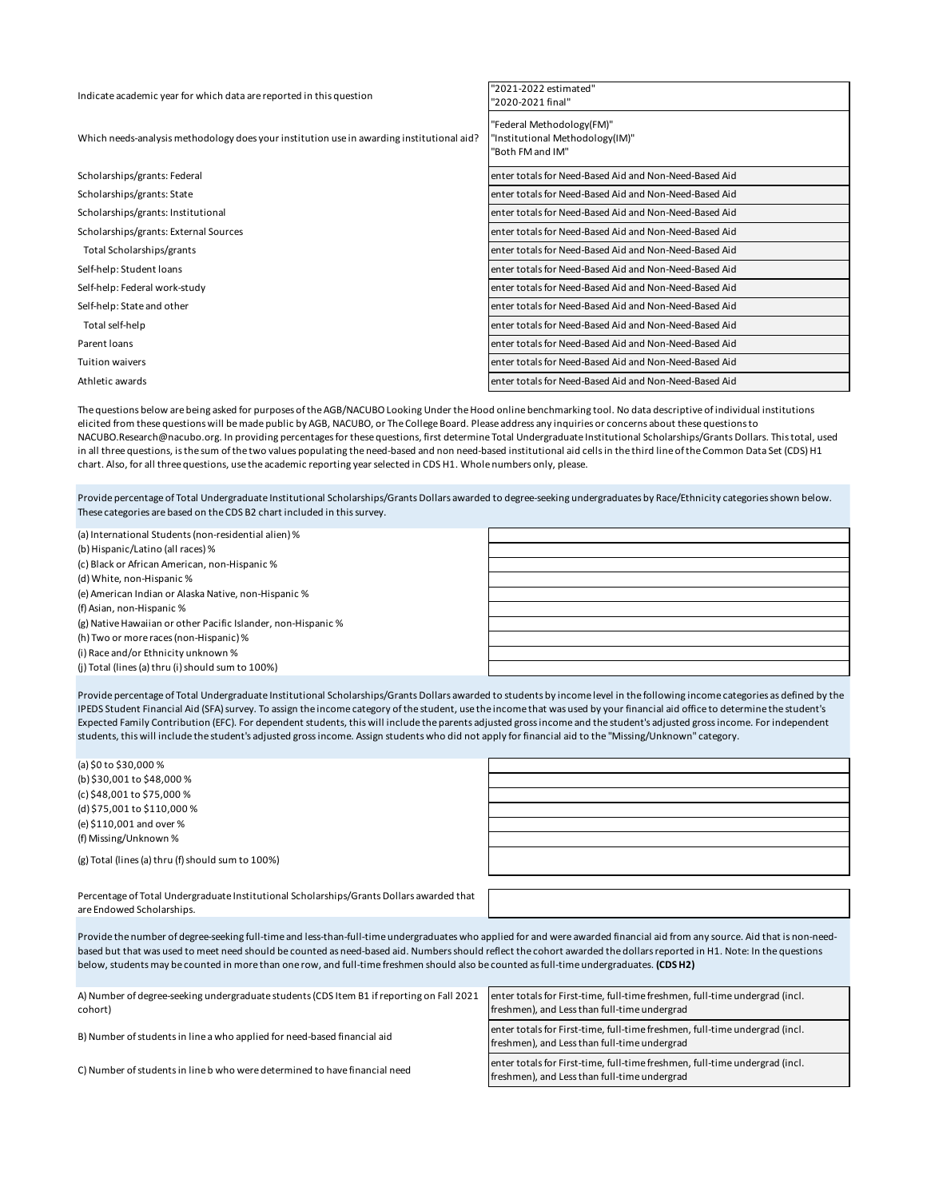| Indicate academic year for which data are reported in this question                       | "2021-2022 estimated"<br>"2020-2021 final"                                       |
|-------------------------------------------------------------------------------------------|----------------------------------------------------------------------------------|
| Which needs-analysis methodology does your institution use in awarding institutional aid? | "Federal Methodology(FM)"<br>"Institutional Methodology(IM)"<br>"Both FM and IM" |
| Scholarships/grants: Federal                                                              | enter totals for Need-Based Aid and Non-Need-Based Aid                           |
| Scholarships/grants: State                                                                | enter totals for Need-Based Aid and Non-Need-Based Aid                           |
| Scholarships/grants: Institutional                                                        | enter totals for Need-Based Aid and Non-Need-Based Aid                           |
| Scholarships/grants: External Sources                                                     | enter totals for Need-Based Aid and Non-Need-Based Aid                           |
| Total Scholarships/grants                                                                 | enter totals for Need-Based Aid and Non-Need-Based Aid                           |
| Self-help: Student loans                                                                  | enter totals for Need-Based Aid and Non-Need-Based Aid                           |
| Self-help: Federal work-study                                                             | enter totals for Need-Based Aid and Non-Need-Based Aid                           |
| Self-help: State and other                                                                | enter totals for Need-Based Aid and Non-Need-Based Aid                           |
| Total self-help                                                                           | enter totals for Need-Based Aid and Non-Need-Based Aid                           |
| Parent loans                                                                              | enter totals for Need-Based Aid and Non-Need-Based Aid                           |
| <b>Tuition waivers</b>                                                                    | enter totals for Need-Based Aid and Non-Need-Based Aid                           |
| Athletic awards                                                                           | enter totals for Need-Based Aid and Non-Need-Based Aid                           |

The questions below are being asked for purposes of the AGB/NACUBO Looking Under the Hood online benchmarking tool. No data descriptive of individual institutions elicited from these questions will be made public by AGB, NACUBO, or The College Board. Please address any inquiries or concerns about these questions to NACUBO.Research@nacubo.org. In providing percentages for these questions, first determine Total Undergraduate Institutional Scholarships/Grants Dollars. This total, used in all three questions, is the sum of the two values populating the need-based and non need-based institutional aid cells in the third line of the Common Data Set (CDS) H1 chart. Also, for all three questions, use the academic reporting year selected in CDS H1. Whole numbers only, please.

Provide percentage of Total Undergraduate Institutional Scholarships/Grants Dollars awarded to degree-seeking undergraduates by Race/Ethnicity categories shown below. These categories are based on the CDS B2 chart included in this survey.

(a) International Students (non-residential alien) % (b) Hispanic/Latino (all races) % (c) Black or African American, non-Hispanic % (d) White, non-Hispanic % (e) American Indian or Alaska Native, non-Hispanic % (f) Asian, non-Hispanic % (g) Native Hawaiian or other Pacific Islander, non-Hispanic % (h) Two or more races (non-Hispanic) % (i) Race and/or Ethnicity unknown % (j) Total (lines (a) thru (i) should sum to 100%)

Provide percentage of Total Undergraduate Institutional Scholarships/Grants Dollars awarded to students by income level in the following income categories as defined by the IPEDS Student Financial Aid (SFA) survey. To assign the income category of the student, use the income that was used by your financial aid office to determine the student's Expected Family Contribution (EFC). For dependent students, this will include the parents adjusted gross income and the student's adjusted gross income. For independent students, this will include the student's adjusted gross income. Assign students who did not apply for financial aid to the "Missing/Unknown" category.

| (a) \$0 to \$30,000 %                                                                                                                                                                                                                                                                                                                                                                                                                                                                             |                                                                                                                             |
|---------------------------------------------------------------------------------------------------------------------------------------------------------------------------------------------------------------------------------------------------------------------------------------------------------------------------------------------------------------------------------------------------------------------------------------------------------------------------------------------------|-----------------------------------------------------------------------------------------------------------------------------|
| (b) \$30,001 to \$48,000 %                                                                                                                                                                                                                                                                                                                                                                                                                                                                        |                                                                                                                             |
| (c) \$48,001 to \$75,000 %                                                                                                                                                                                                                                                                                                                                                                                                                                                                        |                                                                                                                             |
| (d) \$75,001 to \$110,000 %                                                                                                                                                                                                                                                                                                                                                                                                                                                                       |                                                                                                                             |
| (e) \$110,001 and over %                                                                                                                                                                                                                                                                                                                                                                                                                                                                          |                                                                                                                             |
| (f) Missing/Unknown %                                                                                                                                                                                                                                                                                                                                                                                                                                                                             |                                                                                                                             |
| (g) Total (lines (a) thru (f) should sum to 100%)                                                                                                                                                                                                                                                                                                                                                                                                                                                 |                                                                                                                             |
|                                                                                                                                                                                                                                                                                                                                                                                                                                                                                                   |                                                                                                                             |
| Percentage of Total Undergraduate Institutional Scholarships/Grants Dollars awarded that<br>are Endowed Scholarships.                                                                                                                                                                                                                                                                                                                                                                             |                                                                                                                             |
| Provide the number of degree-seeking full-time and less-than-full-time undergraduates who applied for and were awarded financial aid from any source. Aid that is non-need-<br>based but that was used to meet need should be counted as need-based aid. Numbers should reflect the cohort awarded the dollars reported in H1. Note: In the questions<br>below, students may be counted in more than one row, and full-time freshmen should also be counted as full-time undergraduates. (CDS H2) |                                                                                                                             |
| A) Number of degree-seeking undergraduate students (CDS Item B1 if reporting on Fall 2021<br>cohort)                                                                                                                                                                                                                                                                                                                                                                                              | enter totals for First-time, full-time freshmen, full-time undergrad (incl.<br>freshmen), and Less than full-time undergrad |
| B) Number of students in line a who applied for need-based financial aid                                                                                                                                                                                                                                                                                                                                                                                                                          | enter totals for First-time, full-time freshmen, full-time undergrad (incl.<br>freshmen), and Less than full-time undergrad |

freshmen), and Less than full-time undergrad

C) Number of students in line b who were determined to have financial need enter totals for First-time, full-time freshmen, full-time undergrad (incl.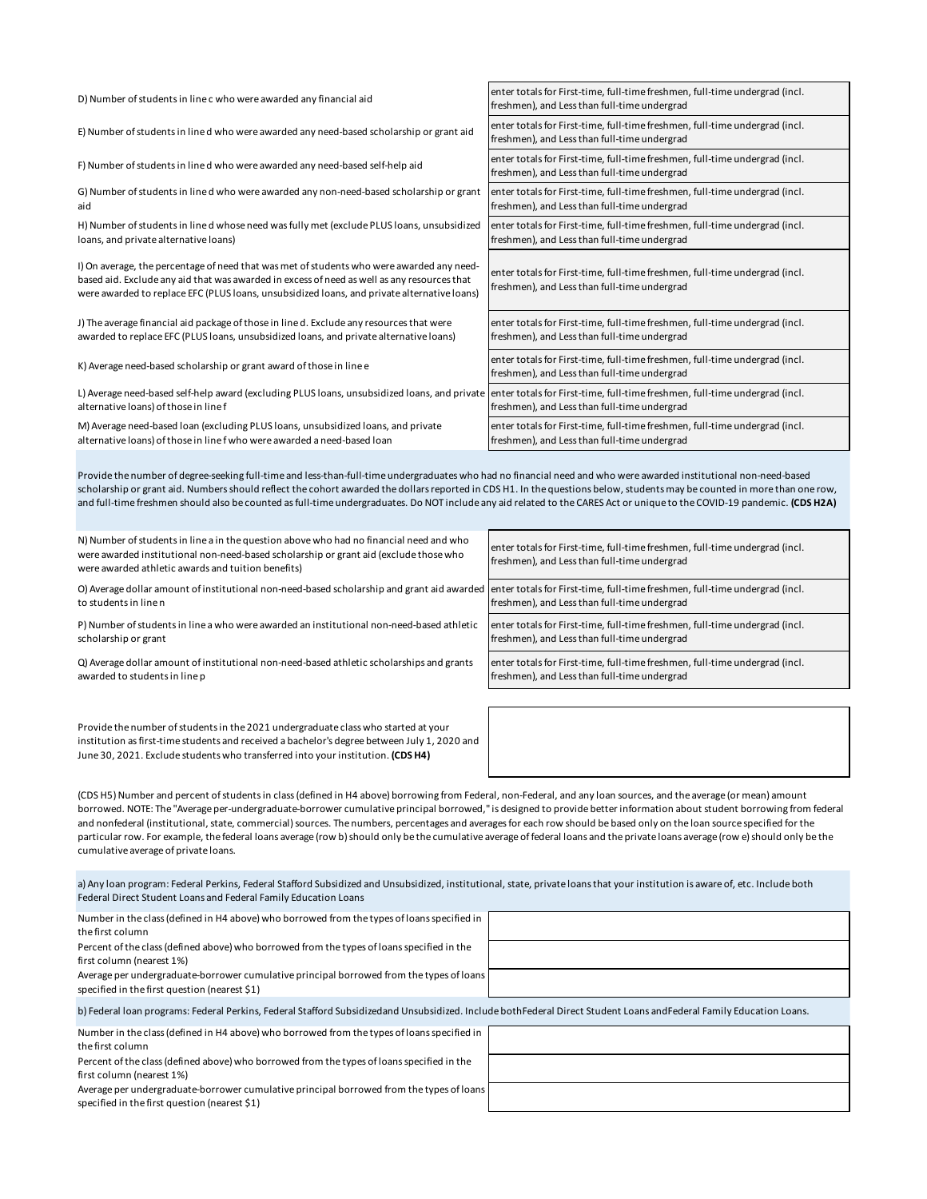| D) Number of students in line c who were awarded any financial aid                                                                                                                                                                                                                      | enter totals for First-time, full-time freshmen, full-time undergrad (incl.<br>freshmen), and Less than full-time undergrad |
|-----------------------------------------------------------------------------------------------------------------------------------------------------------------------------------------------------------------------------------------------------------------------------------------|-----------------------------------------------------------------------------------------------------------------------------|
| E) Number of students in line d who were awarded any need-based scholarship or grant aid                                                                                                                                                                                                | enter totals for First-time, full-time freshmen, full-time undergrad (incl.<br>freshmen), and Less than full-time undergrad |
| F) Number of students in line d who were awarded any need-based self-help aid                                                                                                                                                                                                           | enter totals for First-time, full-time freshmen, full-time undergrad (incl.<br>freshmen), and Less than full-time undergrad |
| G) Number of students in line d who were awarded any non-need-based scholarship or grant<br>aid                                                                                                                                                                                         | enter totals for First-time, full-time freshmen, full-time undergrad (incl.<br>freshmen), and Less than full-time undergrad |
| H) Number of students in line d whose need was fully met (exclude PLUS loans, unsubsidized<br>loans, and private alternative loans)                                                                                                                                                     | enter totals for First-time, full-time freshmen, full-time undergrad (incl.<br>freshmen), and Less than full-time undergrad |
| I) On average, the percentage of need that was met of students who were awarded any need-<br>based aid. Exclude any aid that was awarded in excess of need as well as any resources that<br>were awarded to replace EFC (PLUS loans, unsubsidized loans, and private alternative loans) | enter totals for First-time, full-time freshmen, full-time undergrad (incl.<br>freshmen), and Less than full-time undergrad |
| J) The average financial aid package of those in line d. Exclude any resources that were<br>awarded to replace EFC (PLUS loans, unsubsidized loans, and private alternative loans)                                                                                                      | enter totals for First-time, full-time freshmen, full-time undergrad (incl.<br>freshmen), and Less than full-time undergrad |
| K) Average need-based scholarship or grant award of those in line e                                                                                                                                                                                                                     | enter totals for First-time, full-time freshmen, full-time undergrad (incl.<br>freshmen), and Less than full-time undergrad |
| L) Average need-based self-help award (excluding PLUS loans, unsubsidized loans, and private enter totals for First-time, full-time freshmen, full-time undergrad (incl.<br>alternative loans) of those in line f                                                                       | freshmen), and Less than full-time undergrad                                                                                |
| M) Average need-based loan (excluding PLUS loans, unsubsidized loans, and private<br>alternative loans) of those in line f who were awarded a need-based loan                                                                                                                           | enter totals for First-time, full-time freshmen, full-time undergrad (incl.<br>freshmen), and Less than full-time undergrad |
| Provide the number of degree-seeking full-time and less-than-full-time undergraduates who had no financial need and who were awarded institutional non-need-based                                                                                                                       |                                                                                                                             |

scholarship or grant aid. Numbers should reflect the cohort awarded the dollars reported in CDS H1. In the questions below, students may be counted in more than one row, and full-time freshmen should also be counted as full-time undergraduates. Do NOT include any aid related to the CARES Act or unique to the COVID-19 pandemic. **(CDS H2A)**

| N) Number of students in line a in the question above who had no financial need and who<br>were awarded institutional non-need-based scholarship or grant aid (exclude those who<br>were awarded athletic awards and tuition benefits) | enter totals for First-time, full-time freshmen, full-time undergrad (incl.<br>freshmen), and Less than full-time undergrad |
|----------------------------------------------------------------------------------------------------------------------------------------------------------------------------------------------------------------------------------------|-----------------------------------------------------------------------------------------------------------------------------|
| O) Average dollar amount of institutional non-need-based scholarship and grant aid awarded   enter totals for First-time, full-time freshmen, full-time undergrad (incl.<br>to students in line n                                      | freshmen), and Less than full-time undergrad                                                                                |
| P) Number of students in line a who were awarded an institutional non-need-based athletic<br>scholarship or grant                                                                                                                      | enter totals for First-time, full-time freshmen, full-time undergrad (incl.<br>freshmen), and Less than full-time undergrad |
| Q) Average dollar amount of institutional non-need-based athletic scholarships and grants<br>awarded to students in line p                                                                                                             | enter totals for First-time, full-time freshmen, full-time undergrad (incl.<br>freshmen), and Less than full-time undergrad |
|                                                                                                                                                                                                                                        |                                                                                                                             |

Provide the number of students in the 2021 undergraduate class who started at your institution as first-time students and received a bachelor's degree between July 1, 2020 and June 30, 2021. Exclude students who transferred into your institution. **(CDS H4)**

(CDS H5) Number and percent of students in class (defined in H4 above) borrowing from Federal, non-Federal, and any loan sources, and the average (or mean) amount borrowed. NOTE: The "Average per-undergraduate-borrower cumulative principal borrowed," is designed to provide better information about student borrowing from federal and nonfederal (institutional, state, commercial) sources. The numbers, percentages and averages for each row should be based only on the loan source specified for the particular row. For example, the federal loans average (row b) should only be the cumulative average of federal loans and the private loans average (row e) should only be the cumulative average of private loans.

a) Any loan program: Federal Perkins, Federal Stafford Subsidized and Unsubsidized, institutional, state, private loans that your institution is aware of, etc. Include both Federal Direct Student Loans and Federal Family Education Loans

| Number in the class (defined in H4 above) who borrowed from the types of loans specified in                                                                           |  |
|-----------------------------------------------------------------------------------------------------------------------------------------------------------------------|--|
| the first column                                                                                                                                                      |  |
| Percent of the class (defined above) who borrowed from the types of loans specified in the                                                                            |  |
| first column (nearest 1%)                                                                                                                                             |  |
| Average per undergraduate-borrower cumulative principal borrowed from the types of loans                                                                              |  |
| specified in the first question (nearest \$1)                                                                                                                         |  |
| b) Federal Ioan programs: Federal Perkins, Federal Stafford Subsidizedand Unsubsidized. Include both Federal Direct Student Loans and Federal Family Education Loans. |  |
| Number in the class (defined in H4 above) who borrowed from the types of loans specified in                                                                           |  |
| the first column                                                                                                                                                      |  |
| Percent of the class (defined above) who borrowed from the types of loans specified in the                                                                            |  |
| first column (nearest 1%)                                                                                                                                             |  |

Average per undergraduate-borrower cumulative principal borrowed from the types of loans specified in the first question (nearest \$1)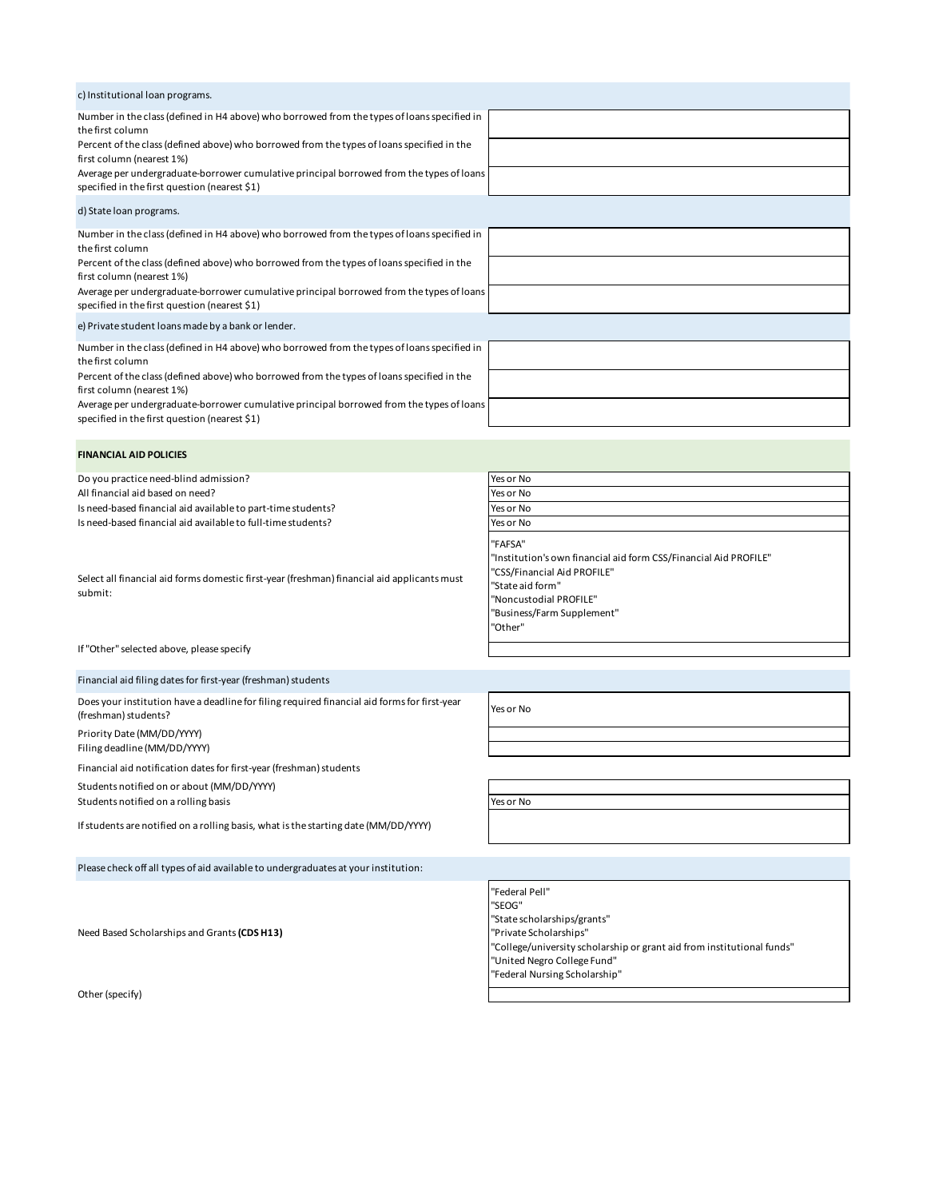| c) Institutional loan programs.                                                                                                           |  |
|-------------------------------------------------------------------------------------------------------------------------------------------|--|
| Number in the class (defined in H4 above) who borrowed from the types of loans specified in<br>the first column                           |  |
| Percent of the class (defined above) who borrowed from the types of loans specified in the<br>first column (nearest 1%)                   |  |
| Average per undergraduate-borrower cumulative principal borrowed from the types of loans<br>specified in the first question (nearest \$1) |  |
| d) State Ioan programs.                                                                                                                   |  |
| Number in the class (defined in H4 above) who borrowed from the types of loans specified in<br>the first column                           |  |
| Percent of the class (defined above) who borrowed from the types of loans specified in the<br>first column (nearest 1%)                   |  |
| Average per undergraduate-borrower cumulative principal borrowed from the types of loans<br>specified in the first question (nearest \$1) |  |
| e) Private student loans made by a bank or lender.                                                                                        |  |
| Number in the class (defined in H4 above) who borrowed from the types of loans specified in<br>the first column                           |  |
| Percent of the class (defined above) who borrowed from the types of loans specified in the<br>first column (nearest 1%)                   |  |
| Average per undergraduate-borrower cumulative principal borrowed from the types of loans<br>specified in the first question (nearest \$1) |  |
|                                                                                                                                           |  |
| <b>FINANCIAL AID POLICIES</b>                                                                                                             |  |

| Do you practice need-blind admission?                                                                  | Yes or No                                                                                                                                                                                         |
|--------------------------------------------------------------------------------------------------------|---------------------------------------------------------------------------------------------------------------------------------------------------------------------------------------------------|
| All financial aid based on need?                                                                       | Yes or No                                                                                                                                                                                         |
| Is need-based financial aid available to part-time students?                                           | Yes or No                                                                                                                                                                                         |
| Is need-based financial aid available to full-time students?                                           | Yes or No                                                                                                                                                                                         |
| Select all financial aid forms domestic first-year (freshman) financial aid applicants must<br>submit: | "FAFSA"<br>"Institution's own financial aid form CSS/Financial Aid PROFILE"<br>"CSS/Financial Aid PROFILE"<br>"State aid form"<br>"Noncustodial PROFILE"<br>"Business/Farm Supplement"<br>"Other" |

If "Other" selected above, please specify

Financial aid filing dates for first-year (freshman) students

Does your institution have a deadline for filing required financial aid forms for first-year (freshman) students? Yes or No

Priority Date (MM/DD/YYYY)

Filing deadline (MM/DD/YYYY)

Financial aid notification dates for first-year (freshman) students

Students notified on or about (MM/DD/YYYY)

Students notified on a rolling basis **Yes or No** 

If students are notified on a rolling basis, what is the starting date (MM/DD/YYYY)

Please check off all types of aid available to undergraduates at your institution:

Need Based Scholarships and Grants **(CDS H13)**

Other (specify)

"Federal Pell" "SEOG" "State scholarships/grants" "Private Scholarships" "College/university scholarship or grant aid from institutional funds" "United Negro College Fund" "Federal Nursing Scholarship"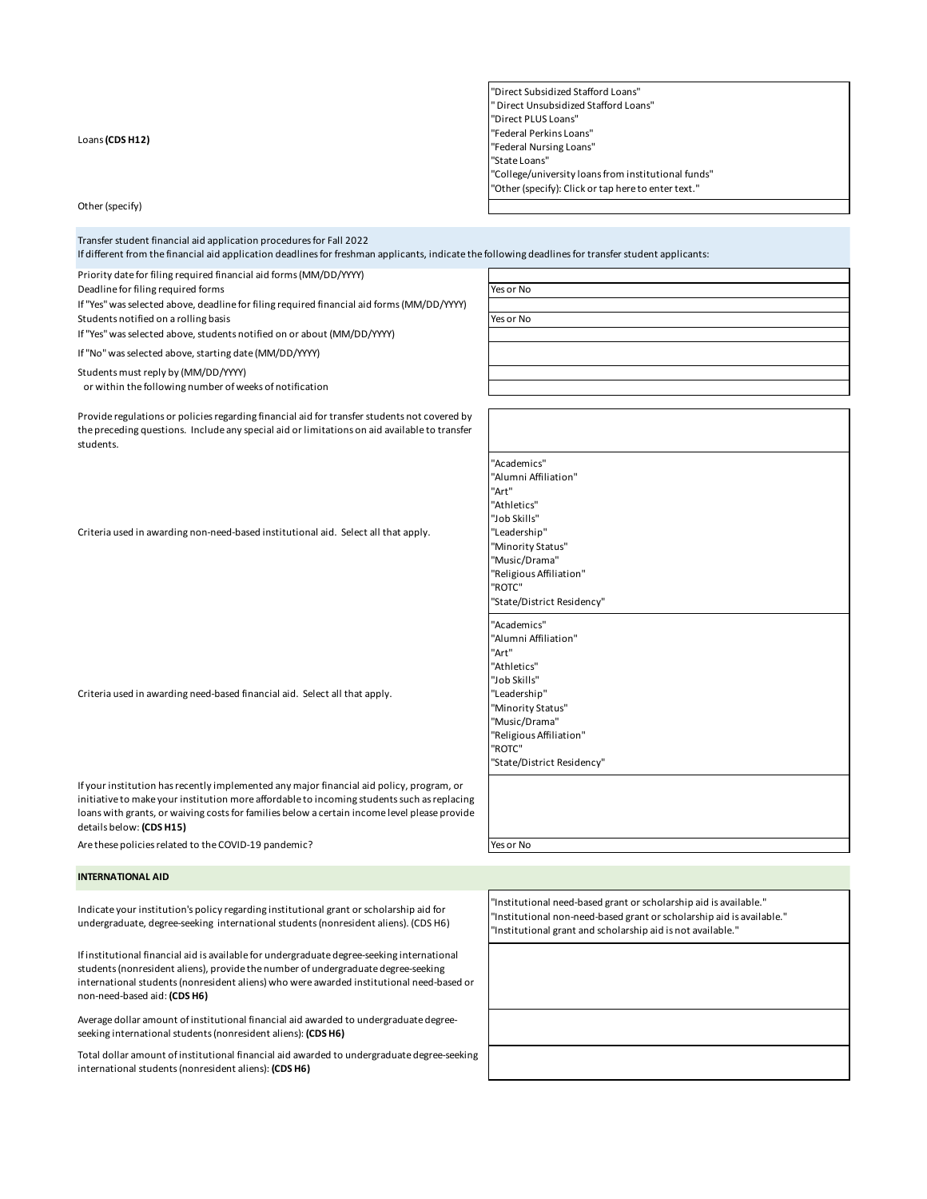Loans **(CDS H12)**

| "Direct Subsidized Stafford Loans"                  |
|-----------------------------------------------------|
| "Direct Unsubsidized Stafford Loans"                |
| "Direct PLUS Loans"                                 |
| "Federal Perkins Loans"                             |
| "Federal Nursing Loans"                             |
| "State Loans"                                       |
| "College/university loans from institutional funds" |
| "Other (specify): Click or tap here to enter text." |
|                                                     |

Other (specify)

Transfer student financial aid application procedures for Fall 2022

If different from the financial aid application deadlines for freshman applicants, indicate the following deadlines for transfer student applicants:

Priority date for filing required financial aid forms (MM/DD/YYYY)

Deadline for filing required forms Theorem 2012 Services of No. 79 Yes or No.

If "Yes" was selected above, deadline for filing required financial aid forms (MM/DD/YYYY) Students notified on a rolling basis **Yes or No. 2018** The Students of No. 2019 The Students of No. 2019 The Students of No. 2019

If "Yes" was selected above, students notified on or about (MM/DD/YYYY)

If "No" was selected above, starting date (MM/DD/YYYY)

Students must reply by (MM/DD/YYYY)

or within the following number of weeks of notification

Provide regulations or policies regarding financial aid for transfer students not covered by the preceding questions. Include any special aid or limitations on aid available to transfer students.

Criteria used in awarding non-need-based institutional aid. Select all that apply.

Criteria used in awarding need-based financial aid. Select all that apply.

If your institution has recently implemented any major financial aid policy, program, or initiative to make your institution more affordable to incoming students such as replacing loans with grants, or waiving costs for families below a certain income level please provide details below: **(CDS H15)**

Are these policies related to the COVID-19 pandemic?

|  | es or | חוח |  |
|--|-------|-----|--|
|  |       |     |  |

"Academics" "Alumni Affiliation"

"Art" "Athletics" "Job Skills" "Leadership" "Minority Status" "Music/Drama" "Religious Affiliation"

"ROTC"

"Art" "Athletics" "Job Skills" "Leadership" "Minority Status" "Music/Drama" "Religious Affiliation"

"ROTC"

"Academics" "Alumni Affiliation"

"State/District Residency"

"State/District Residency"

#### **INTERNATIONAL AID**

Indicate your institution's policy regarding institutional grant or scholarship aid for undergraduate, degree-seeking international students (nonresident aliens). (CDS H6)

If institutional financial aid is available for undergraduate degree-seeking international students (nonresident aliens), provide the number of undergraduate degree-seeking international students (nonresident aliens) who were awarded institutional need-based or non-need-based aid: **(CDS H6)**

Average dollar amount of institutional financial aid awarded to undergraduate degreeseeking international students (nonresident aliens): **(CDS H6)**

Total dollar amount of institutional financial aid awarded to undergraduate degree-seeking international students (nonresident aliens): **(CDS H6)**

"Institutional need-based grant or scholarship aid is available." "Institutional non-need-based grant or scholarship aid is available." "Institutional grant and scholarship aid is not available."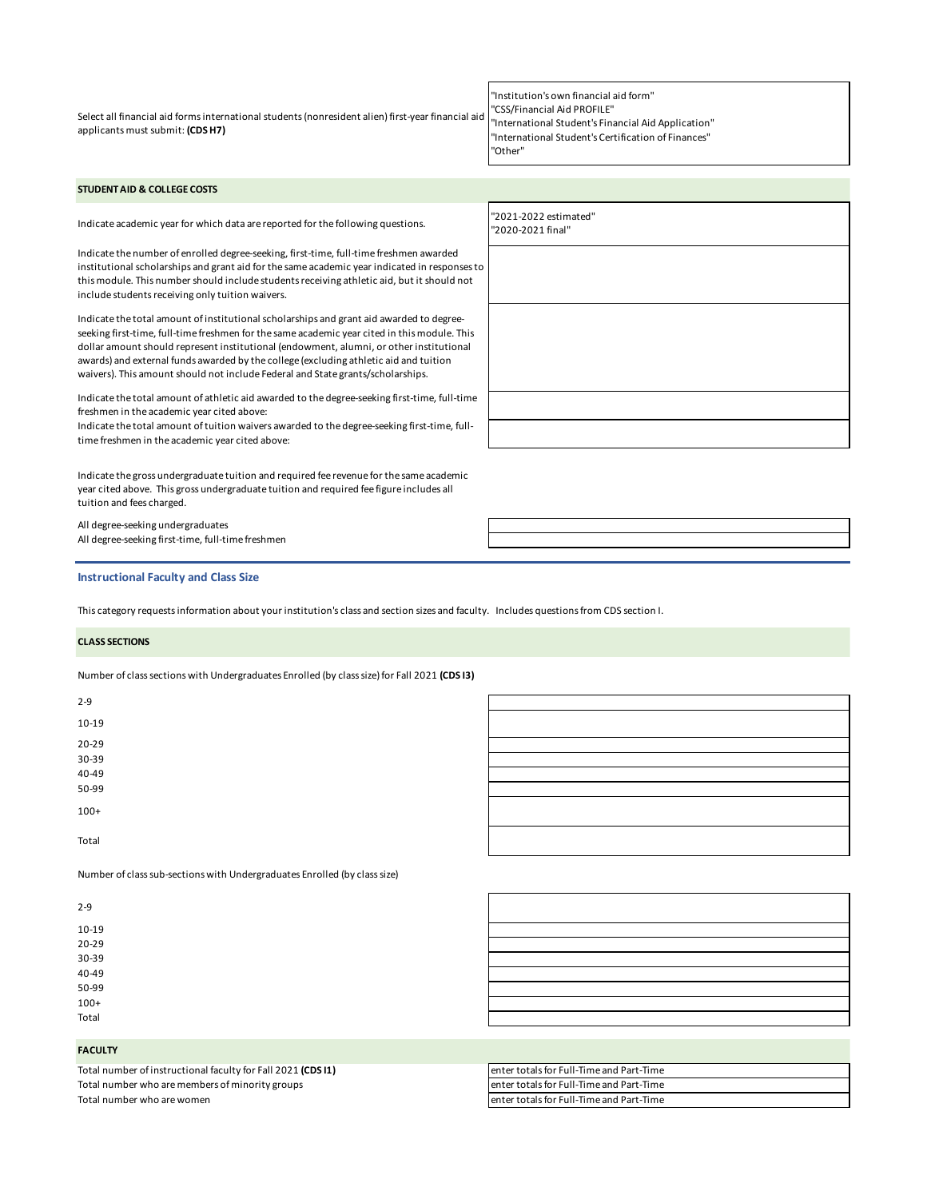Select all financial aid forms international students (nonresident alien) first-year financial aid applicants must submit: **(CDS H7)**

| "Institution's own financial aid form"              |
|-----------------------------------------------------|
| "CSS/Financial Aid PROFILE"                         |
| "International Student's Financial Aid Application" |
| "International Student's Certification of Finances" |
| "Other"                                             |

"2020-2021 final"

г

### **STUDENT AID & COLLEGE COSTS**

Indicate academic year for which data are reported for the following questions. "2021-2022 estimated"

Indicate the number of enrolled degree-seeking, first-time, full-time freshmen awarded institutional scholarships and grant aid for the same academic year indicated in responses to this module. This number should include students receiving athletic aid, but it should not include students receiving only tuition waivers.

Indicate the total amount of institutional scholarships and grant aid awarded to degreeseeking first-time, full-time freshmen for the same academic year cited in this module. This dollar amount should represent institutional (endowment, alumni, or other institutional awards) and external funds awarded by the college (excluding athletic aid and tuition waivers). This amount should not include Federal and State grants/scholarships.

Indicate the total amount of athletic aid awarded to the degree-seeking first-time, full-time freshmen in the academic year cited above:

Indicate the total amount of tuition waivers awarded to the degree-seeking first-time, fulltime freshmen in the academic year cited above:

Indicate the gross undergraduate tuition and required fee revenue for the same academic year cited above. This gross undergraduate tuition and required fee figure includes all tuition and fees charged.

All degree-seeking undergraduates All degree-seeking first-time, full-time freshmen

### **Instructional Faculty and Class Size**

This category requests information about your institution's class and section sizes and faculty. Includes questions from CDS section I.

#### **CLASS SECTIONS**

Number of class sections with Undergraduates Enrolled (by class size) for Fall 2021 **(CDS I3)**

| $2 - 9$                                                                   |  |
|---------------------------------------------------------------------------|--|
| 10-19                                                                     |  |
| 20-29                                                                     |  |
| 30-39                                                                     |  |
| 40-49                                                                     |  |
| 50-99                                                                     |  |
| $100+$                                                                    |  |
| Total                                                                     |  |
| Number of class sub-sections with Undergraduates Enrolled (by class size) |  |

# 2-9

| 10-19     |  |  |
|-----------|--|--|
| $20 - 29$ |  |  |
| 30-39     |  |  |
| $40 - 49$ |  |  |
| 50-99     |  |  |
| $100+$    |  |  |
| Total     |  |  |

#### **FACULTY**

Total number of instructional faculty for Fall 2021 (CDS I1) Total number who are members of minority groups Total number who are women

| lenter totals for Full-Time and Part-Time |
|-------------------------------------------|
| lenter totals for Full-Time and Part-Time |
| lenter totals for Full-Time and Part-Time |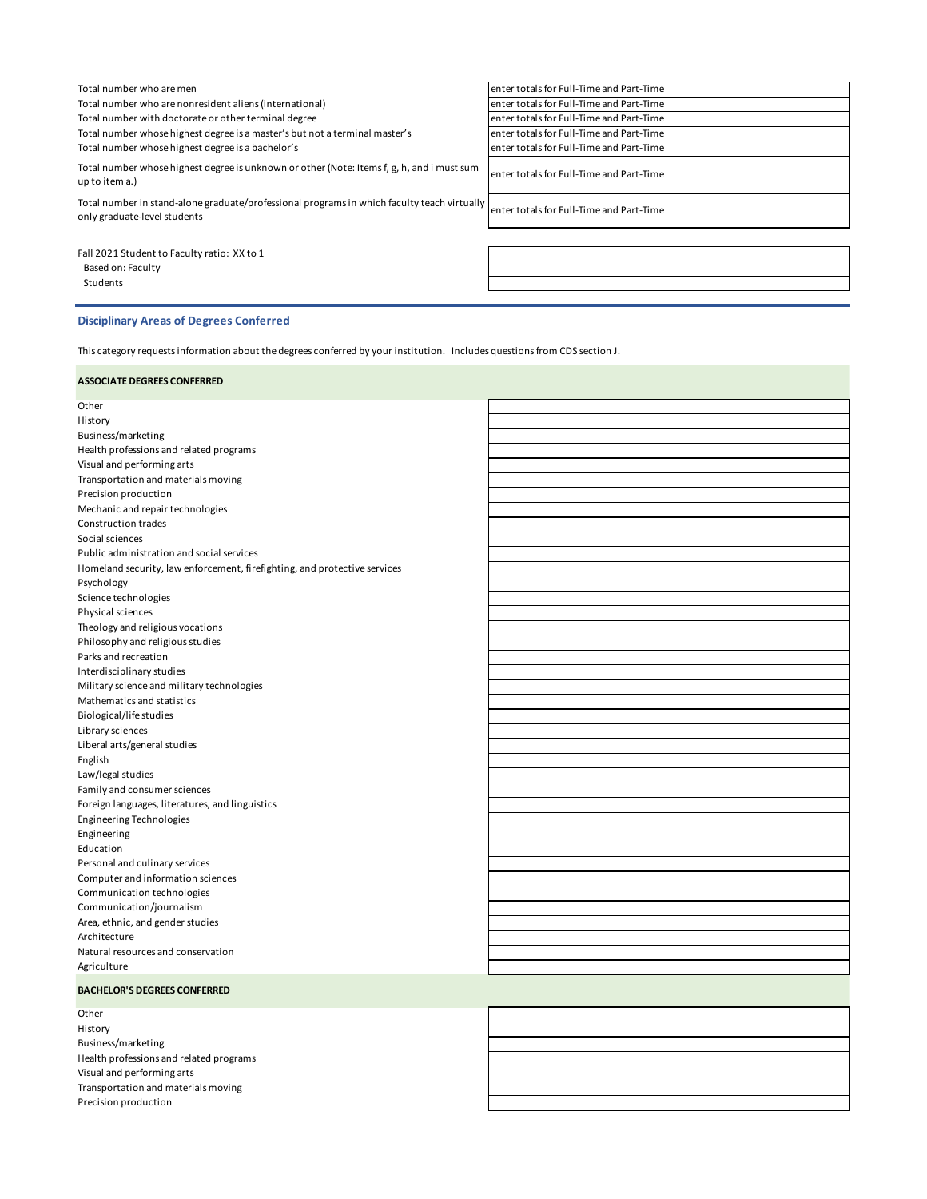| Total number who are men                                                                                                    | enter totals for Full-Time and Part-Time  |
|-----------------------------------------------------------------------------------------------------------------------------|-------------------------------------------|
| Total number who are nonresident aliens (international)                                                                     | enter totals for Full-Time and Part-Time  |
| Total number with doctorate or other terminal degree                                                                        | enter totals for Full-Time and Part-Time  |
| Total number whose highest degree is a master's but not a terminal master's                                                 | enter totals for Full-Time and Part-Time  |
| Total number whose highest degree is a bachelor's                                                                           | enter totals for Full-Time and Part-Time  |
| Total number whose highest degree is unknown or other (Note: Items f, g, h, and i must sum<br>up to item a.)                | lenter totals for Full-Time and Part-Time |
| Total number in stand-alone graduate/professional programs in which faculty teach virtually<br>only graduate-level students | enter totals for Full-Time and Part-Time  |
|                                                                                                                             |                                           |
| Fall 2021 Student to Faculty ratio: XX to 1                                                                                 |                                           |
| Based on: Faculty                                                                                                           |                                           |
| Students                                                                                                                    |                                           |
|                                                                                                                             |                                           |

# **Disciplinary Areas of Degrees Conferred**

Visual and performing arts Transportation and materials moving

Precision production

This category requests information about the degrees conferred by your institution. Includes questions from CDS section J.

| <b>ASSOCIATE DEGREES CONFERRED</b>                                        |  |
|---------------------------------------------------------------------------|--|
| Other                                                                     |  |
| History                                                                   |  |
| Business/marketing                                                        |  |
| Health professions and related programs                                   |  |
| Visual and performing arts                                                |  |
| Transportation and materials moving                                       |  |
| Precision production                                                      |  |
| Mechanic and repair technologies                                          |  |
| <b>Construction trades</b>                                                |  |
| Social sciences                                                           |  |
| Public administration and social services                                 |  |
| Homeland security, law enforcement, firefighting, and protective services |  |
| Psychology                                                                |  |
| Science technologies                                                      |  |
| Physical sciences                                                         |  |
| Theology and religious vocations                                          |  |
| Philosophy and religious studies                                          |  |
| Parks and recreation                                                      |  |
| Interdisciplinary studies                                                 |  |
| Military science and military technologies                                |  |
| Mathematics and statistics                                                |  |
| Biological/life studies                                                   |  |
| Library sciences                                                          |  |
| Liberal arts/general studies                                              |  |
| English                                                                   |  |
| Law/legal studies                                                         |  |
| Family and consumer sciences                                              |  |
| Foreign languages, literatures, and linguistics                           |  |
| <b>Engineering Technologies</b>                                           |  |
| Engineering                                                               |  |
| Education                                                                 |  |
| Personal and culinary services                                            |  |
| Computer and information sciences                                         |  |
| Communication technologies                                                |  |
| Communication/journalism                                                  |  |
| Area, ethnic, and gender studies                                          |  |
| Architecture                                                              |  |
| Natural resources and conservation                                        |  |
| Agriculture                                                               |  |
| <b>BACHELOR'S DEGREES CONFERRED</b>                                       |  |
| Other                                                                     |  |
| History                                                                   |  |
| Business/marketing                                                        |  |
| Health professions and related programs                                   |  |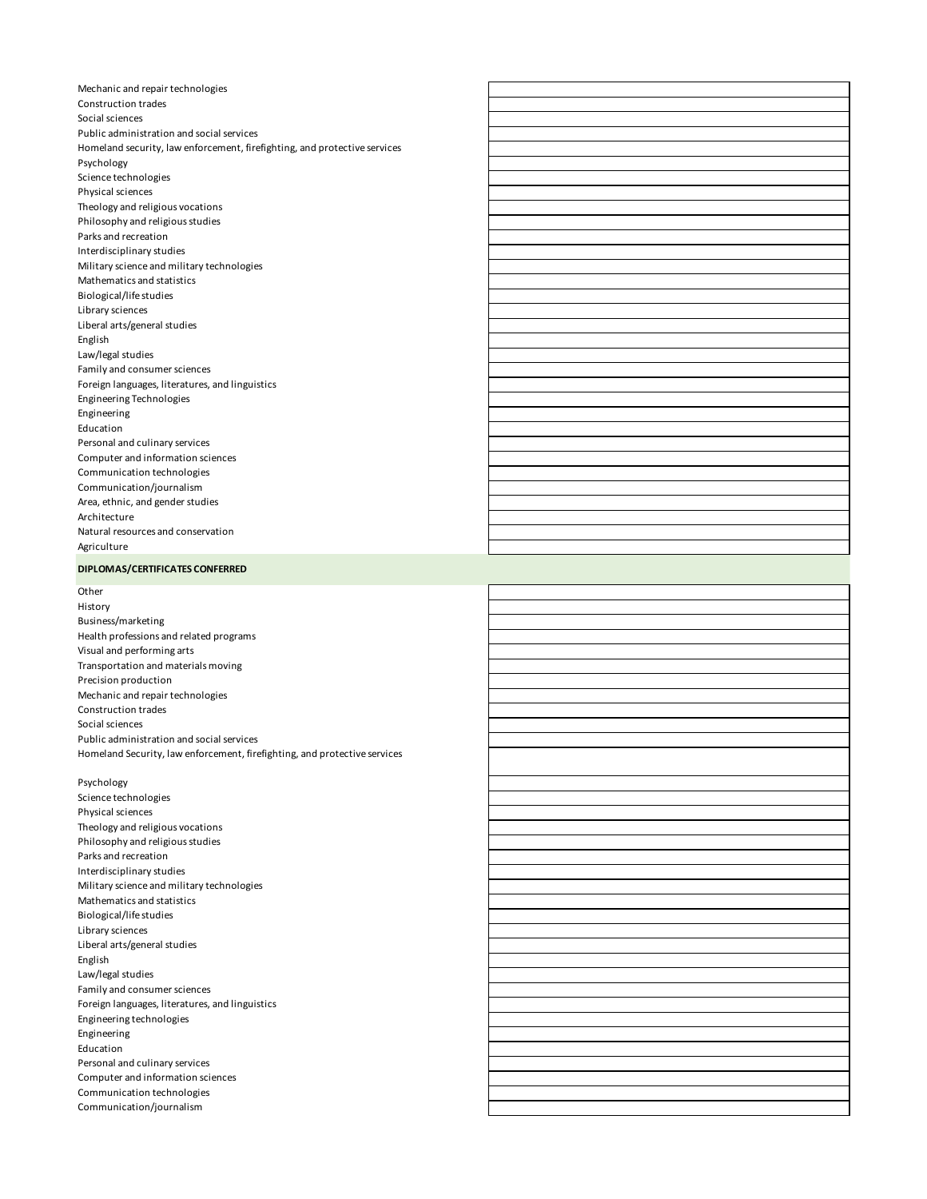Mechanic and repair technologies Construction trades Social sciences Public administration and social services Homeland security, law enforcement, firefighting, and protective services Psychology Science technologies Physical sciences Theology and religious vocations Philosophy and religious studies Parks and recreation Interdisciplinary studies Military science and military technologies Mathematics and statistics Biological/life studies Library sciences Liberal arts/general studies English Law/legal studies Family and consumer sciences Foreign languages, literatures, and linguistics Engineering Technologies Engineering Education Personal and culinary services Computer and information sciences Communication technologies Communication/journalism Area, ethnic, and gender studies Architecture Natural resources and conservation Agriculture

# **DIPLOMAS/CERTIFICATES CONFERRED**

**Other** 

History Business/marketing Health professions and related programs Visual and performing arts Transportation and materials moving Precision production Mechanic and repair technologies Construction trades Social sciences Public administration and social services Homeland Security, law enforcement, firefighting, and protective services

Psychology Science technologies Physical sciences Theology and religious vocations Philosophy and religious studies Parks and recreation Interdisciplinary studies Military science and military technologies Mathematics and statistics Biological/life studies Library sciences Liberal arts/general studies English Law/legal studies Family and consumer sciences Foreign languages, literatures, and linguistics Engineering technologies Engineering Education Personal and culinary services Computer and information sciences Communication technologies Communication/journalism